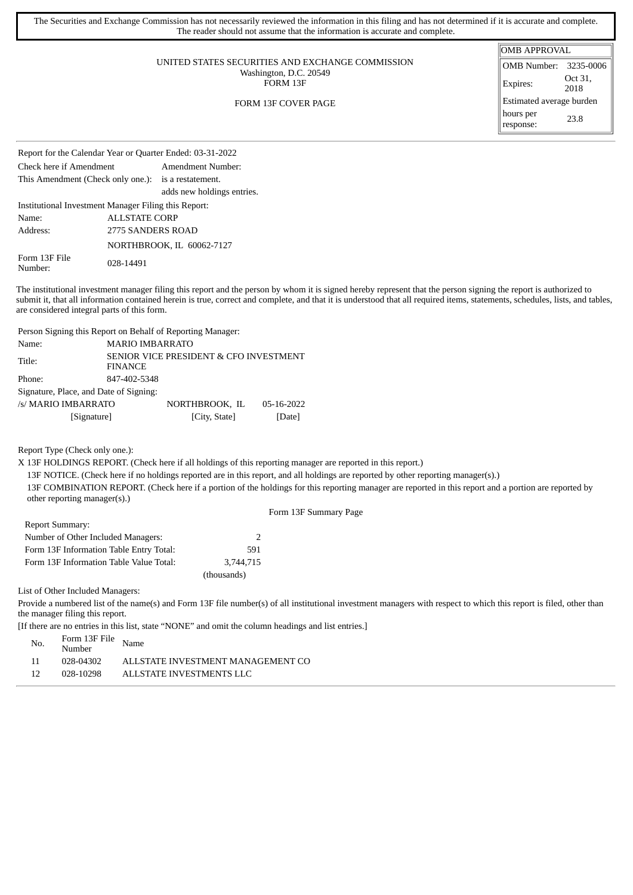| The Securities and Exchange Commission has not necessarily reviewed the information in this filing and has not determined if it is accurate and complete.<br>The reader should not assume that the information is accurate and complete. |                          |                 |  |  |  |  |
|------------------------------------------------------------------------------------------------------------------------------------------------------------------------------------------------------------------------------------------|--------------------------|-----------------|--|--|--|--|
|                                                                                                                                                                                                                                          | <b>OMB APPROVAL</b>      |                 |  |  |  |  |
| UNITED STATES SECURITIES AND EXCHANGE COMMISSION                                                                                                                                                                                         | OMB Number:              | 3235-0006       |  |  |  |  |
| Washington, D.C. 20549<br>FORM 13F                                                                                                                                                                                                       | Expires:                 | Oct 31,<br>2018 |  |  |  |  |
| FORM 13F COVER PAGE                                                                                                                                                                                                                      | Estimated average burden |                 |  |  |  |  |
|                                                                                                                                                                                                                                          | hours per<br>response:   | 23.8            |  |  |  |  |

| Report for the Calendar Year or Quarter Ended: 03-31-2022 |                      |                            |  |  |  |  |
|-----------------------------------------------------------|----------------------|----------------------------|--|--|--|--|
| Check here if Amendment                                   | Amendment Number:    |                            |  |  |  |  |
| This Amendment (Check only one.): is a restatement.       |                      |                            |  |  |  |  |
|                                                           |                      | adds new holdings entries. |  |  |  |  |
| Institutional Investment Manager Filing this Report:      |                      |                            |  |  |  |  |
| Name:                                                     | <b>ALLSTATE CORP</b> |                            |  |  |  |  |
| Address:                                                  | 2775 SANDERS ROAD    |                            |  |  |  |  |
|                                                           |                      | NORTHBROOK, IL 60062-7127  |  |  |  |  |
| Form 13F File<br>Number:                                  | 028-14491            |                            |  |  |  |  |

The institutional investment manager filing this report and the person by whom it is signed hereby represent that the person signing the report is authorized to submit it, that all information contained herein is true, correct and complete, and that it is understood that all required items, statements, schedules, lists, and tables, are considered integral parts of this form.

Person Signing this Report on Behalf of Reporting Manager:

| Name:                                  | <b>MARIO IMBARRATO</b>                                   |                |            |  |  |  |  |  |  |
|----------------------------------------|----------------------------------------------------------|----------------|------------|--|--|--|--|--|--|
| Title:                                 | SENIOR VICE PRESIDENT & CFO INVESTMENT<br><b>FINANCE</b> |                |            |  |  |  |  |  |  |
| Phone:                                 | 847-402-5348                                             |                |            |  |  |  |  |  |  |
| Signature, Place, and Date of Signing: |                                                          |                |            |  |  |  |  |  |  |
| /s/ MARIO IMBARRATO                    |                                                          | NORTHBROOK, IL | 05-16-2022 |  |  |  |  |  |  |
| [Signature]                            |                                                          | [City, State]  | [Date]     |  |  |  |  |  |  |

Report Type (Check only one.):

X 13F HOLDINGS REPORT. (Check here if all holdings of this reporting manager are reported in this report.)

13F NOTICE. (Check here if no holdings reported are in this report, and all holdings are reported by other reporting manager(s).)

13F COMBINATION REPORT. (Check here if a portion of the holdings for this reporting manager are reported in this report and a portion are reported by other reporting manager(s).)

|  |  | Form 13F Summary Page |  |
|--|--|-----------------------|--|
|--|--|-----------------------|--|

| <b>Report Summary:</b>                  |               |
|-----------------------------------------|---------------|
| Number of Other Included Managers:      | $\mathcal{L}$ |
| Form 13F Information Table Entry Total: | 591           |
| Form 13F Information Table Value Total: | 3.744.715     |
|                                         | (thousands)   |

List of Other Included Managers:

Provide a numbered list of the name(s) and Form 13F file number(s) of all institutional investment managers with respect to which this report is filed, other than the manager filing this report.

[If there are no entries in this list, state "NONE" and omit the column headings and list entries.]

| No. | Form 13F File Name<br>Number |                                   |
|-----|------------------------------|-----------------------------------|
| 11  | 028-04302                    | ALLSTATE INVESTMENT MANAGEMENT CO |
| -12 | 028-10298                    | ALLSTATE INVESTMENTS LLC          |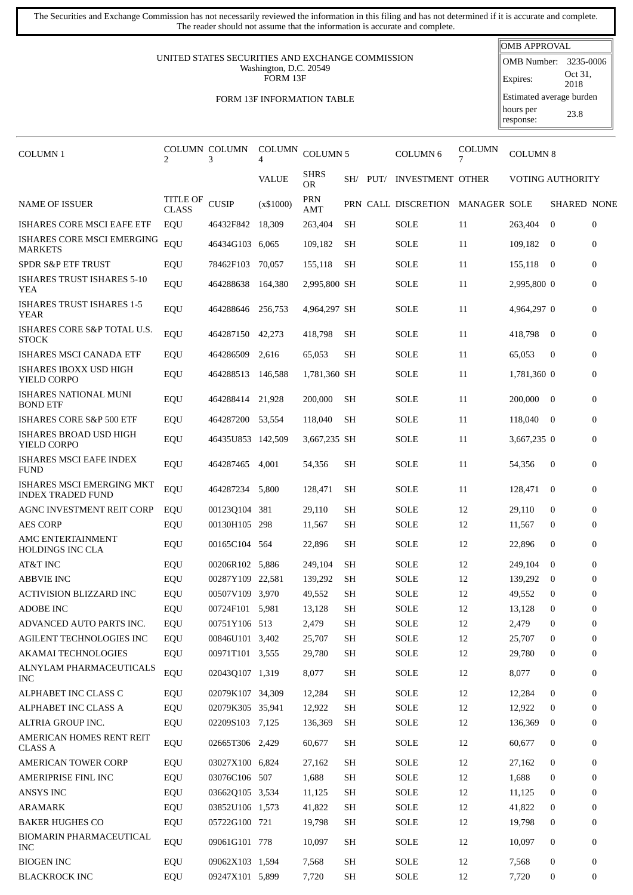The Securities and Exchange Commission has not necessarily reviewed the information in this filing and has not determined if it is accurate and complete. The reader should not assume that the information is accurate and complete.

## UNITED STATES SECURITIES AND EXCHANGE COMMISSION Washington, D.C. 20549 FORM 13F

## FORM 13F INFORMATION TABLE

| <b>OMB APPROVAL</b>      |                 |  |  |  |  |  |  |
|--------------------------|-----------------|--|--|--|--|--|--|
| <b>OMB Number:</b>       | 3235-0006       |  |  |  |  |  |  |
| Expires:                 | Oct 31,<br>2018 |  |  |  |  |  |  |
| Estimated average burden |                 |  |  |  |  |  |  |
| hours per<br>response:   | 23.8            |  |  |  |  |  |  |

| COLUMN <sub>1</sub>                                   | 2                        | <b>COLUMN COLUMN</b><br>3 | <b>COLUMN</b><br>4 | <b>COLUMN5</b>    |                     |          | <b>COLUMN6</b>          | COLUMN       | <b>COLUMN 8</b> |                         |                |
|-------------------------------------------------------|--------------------------|---------------------------|--------------------|-------------------|---------------------|----------|-------------------------|--------------|-----------------|-------------------------|----------------|
|                                                       |                          |                           | <b>VALUE</b>       | <b>SHRS</b><br>OR |                     | SH/ PUT/ | <b>INVESTMENT OTHER</b> |              |                 | <b>VOTING AUTHORITY</b> |                |
| <b>NAME OF ISSUER</b>                                 | TITLE OF<br><b>CLASS</b> | CUSIP                     | (x\$1000)          | PRN<br>AMT        |                     |          | PRN CALL DISCRETION     | MANAGER SOLE |                 | <b>SHARED NONE</b>      |                |
| <b>ISHARES CORE MSCI EAFE ETF</b>                     | EQU                      | 46432F842                 | 18,309             | 263,404           | <b>SH</b>           |          | <b>SOLE</b>             | 11           | 263,404         | $\mathbf{0}$            | $\overline{0}$ |
| ISHARES CORE MSCI EMERGING<br><b>MARKETS</b>          | EQU                      | 46434G103 6,065           |                    | 109,182           | SH                  |          | SOLE                    | 11           | 109,182 0       |                         | $\overline{0}$ |
| <b>SPDR S&amp;P ETF TRUST</b>                         | EQU                      | 78462F103                 | 70,057             | 155,118           | <b>SH</b>           |          | SOLE                    | 11           | 155,118         | - 0                     | $\overline{0}$ |
| <b>ISHARES TRUST ISHARES 5-10</b><br>YEA              | EQU                      | 464288638                 | 164.380            | 2,995,800 SH      |                     |          | SOLE                    | 11           | 2,995,800 0     |                         | $\mathbf{0}$   |
| <b>ISHARES TRUST ISHARES 1-5</b><br><b>YEAR</b>       | EQU                      | 464288646                 | 256,753            | 4,964,297 SH      |                     |          | SOLE                    | 11           | 4,964,297 0     |                         | $\mathbf{0}$   |
| ISHARES CORE S&P TOTAL U.S.<br><b>STOCK</b>           | EQU                      | 464287150                 | 42,273             | 418,798           | <b>SH</b>           |          | SOLE                    | 11           | 418,798         | $\overline{0}$          | $\overline{0}$ |
| ISHARES MSCI CANADA ETF                               | EQU                      | 464286509                 | 2,616              | 65,053            | SH                  |          | SOLE                    | 11           | 65,053          | $\mathbf{0}$            | $\overline{0}$ |
| ISHARES IBOXX USD HIGH<br>YIELD CORPO                 | EQU                      | 464288513                 | 146.588            | 1,781,360 SH      |                     |          | SOLE                    | 11           | 1,781,360 0     |                         | $\overline{0}$ |
| <b>ISHARES NATIONAL MUNI</b><br><b>BOND ETF</b>       | EQU                      | 464288414                 | 21,928             | 200,000           | <b>SH</b>           |          | SOLE                    | 11           | 200,000         | $\overline{0}$          | $\overline{0}$ |
| ISHARES CORE S&P 500 ETF                              | EQU                      | 464287200                 | 53,554             | 118,040           | SH                  |          | SOLE                    | 11           | 118,040         | $\overline{0}$          | $\overline{0}$ |
| ISHARES BROAD USD HIGH<br>YIELD CORPO                 | EQU                      | 46435U853 142,509         |                    | 3,667,235 SH      |                     |          | SOLE                    | 11           | 3,667,235 0     |                         | $\overline{0}$ |
| ISHARES MSCI EAFE INDEX<br><b>FUND</b>                | EQU                      | 464287465                 | 4,001              | 54,356            | SH                  |          | SOLE                    | 11           | 54,356          | $\bf{0}$                | $\mathbf{0}$   |
| ISHARES MSCI EMERGING MKT<br><b>INDEX TRADED FUND</b> | EQU                      | 464287234                 | 5,800              | 128,471           | <b>SH</b>           |          | <b>SOLE</b>             | 11           | 128,471         | $\mathbf{0}$            | $\mathbf{0}$   |
| AGNC INVESTMENT REIT CORP                             | EQU                      | 00123Q104 381             |                    | 29,110            | SH                  |          | <b>SOLE</b>             | 12           | 29,110          | $\mathbf{0}$            | $\Omega$       |
| <b>AES CORP</b>                                       | EQU                      | 00130H105 298             |                    | 11,567            | SH                  |          | <b>SOLE</b>             | 12           | 11,567          | $\mathbf{0}$            | $\overline{0}$ |
| AMC ENTERTAINMENT<br>HOLDINGS INC CLA                 | EQU                      | 00165C104 564             |                    | 22,896            | SH                  |          | SOLE                    | 12           | 22,896          | $\mathbf{0}$            | $\overline{0}$ |
| AT&T INC                                              | EQU                      | 00206R102 5,886           |                    | 249.104           | SH                  |          | <b>SOLE</b>             | 12           | 249.104         | $\mathbf{0}$            | $\mathbf{0}$   |
| <b>ABBVIE INC</b>                                     | EQU                      | 00287Y109 22,581          |                    | 139,292           | <b>SH</b>           |          | <b>SOLE</b>             | 12           | 139,292         | $\bf{0}$                | $\mathbf{0}$   |
| ACTIVISION BLIZZARD INC                               | EQU                      | 00507V109 3,970           |                    | 49,552            | SH                  |          | SOLE                    | 12           | 49,552          | $\mathbf{0}$            | $\mathbf{0}$   |
| <b>ADOBE INC</b>                                      | EQU                      | 00724F101 5.981           |                    | 13,128            | SH                  |          | <b>SOLE</b>             | 12           | 13,128          | $\boldsymbol{0}$        | $\mathbf{0}$   |
| ADVANCED AUTO PARTS INC.                              | EQU                      | 00751Y106 513             |                    | 2,479             | $\operatorname{SH}$ |          | $\operatorname{SOLE}$   | $12\,$       | 2,479           | $\mathbf 0$             | $\mathbf{0}$   |
| <b>AGILENT TECHNOLOGIES INC</b>                       | EQU                      | 00846U101 3,402           |                    | 25,707            | SH                  |          | <b>SOLE</b>             | 12           | 25,707          | $\mathbf{0}$            | $\overline{0}$ |
| <b>AKAMAI TECHNOLOGIES</b>                            | EQU                      | 00971T101 3,555           |                    | 29,780            | SH                  |          | SOLE                    | 12           | 29,780          | 0                       | $\overline{0}$ |
| ALNYLAM PHARMACEUTICALS<br><b>INC</b>                 | EQU                      | 02043Q107 1,319           |                    | 8,077             | SH                  |          | <b>SOLE</b>             | 12           | 8,077           | 0                       | 0              |
| ALPHABET INC CLASS C                                  | EQU                      | 02079K107 34,309          |                    | 12,284            | SH                  |          | <b>SOLE</b>             | 12           | 12,284          | $\boldsymbol{0}$        | $\overline{0}$ |
| ALPHABET INC CLASS A                                  | EQU                      | 02079K305 35,941          |                    | 12,922            | SH                  |          | <b>SOLE</b>             | 12           | 12,922          | $\mathbf{0}$            | $\Omega$       |
| ALTRIA GROUP INC.                                     | EQU                      | 02209S103 7,125           |                    | 136,369           | SH                  |          | <b>SOLE</b>             | 12           | 136,369         | $\bf{0}$                | $\overline{0}$ |
| AMERICAN HOMES RENT REIT<br>CLASS A                   | EQU                      | 02665T306 2,429           |                    | 60,677            | SH                  |          | SOLE                    | 12           | 60,677          | 0                       | 0              |
| <b>AMERICAN TOWER CORP</b>                            | EQU                      | 03027X100 6,824           |                    | 27,162            | SH                  |          | <b>SOLE</b>             | 12           | 27,162          | $\boldsymbol{0}$        | $\overline{0}$ |
| AMERIPRISE FINL INC                                   | EQU                      | 03076C106 507             |                    | 1,688             | SH                  |          | <b>SOLE</b>             | 12           | 1,688           | $\boldsymbol{0}$        | $\overline{0}$ |
| ANSYS INC                                             | EQU                      | 03662Q105 3,534           |                    | 11,125            | SH                  |          | <b>SOLE</b>             | 12           | 11,125          | 0                       | $\Omega$       |
| ARAMARK                                               | EQU                      | 03852U106 1,573           |                    | 41,822            | SH                  |          | <b>SOLE</b>             | 12           | 41,822          | 0                       | $\overline{0}$ |
| <b>BAKER HUGHES CO</b>                                | EQU                      | 05722G100 721             |                    | 19,798            | SH                  |          | SOLE                    | 12           | 19,798          | $\boldsymbol{0}$        | $\overline{0}$ |
| BIOMARIN PHARMACEUTICAL<br><b>INC</b>                 | EQU                      | 09061G101 778             |                    | 10,097            | SH                  |          | SOLE                    | 12           | 10,097          | 0                       | 0              |
| <b>BIOGEN INC</b>                                     | EQU                      | 09062X103 1,594           |                    | 7,568             | SH                  |          | <b>SOLE</b>             | 12           | 7,568           | $\boldsymbol{0}$        | $\overline{0}$ |
| <b>BLACKROCK INC</b>                                  | EQU                      | 09247X101 5,899           |                    | 7,720             | SH                  |          | $\operatorname{SOLE}$   | 12           | 7,720           | 0                       | 0              |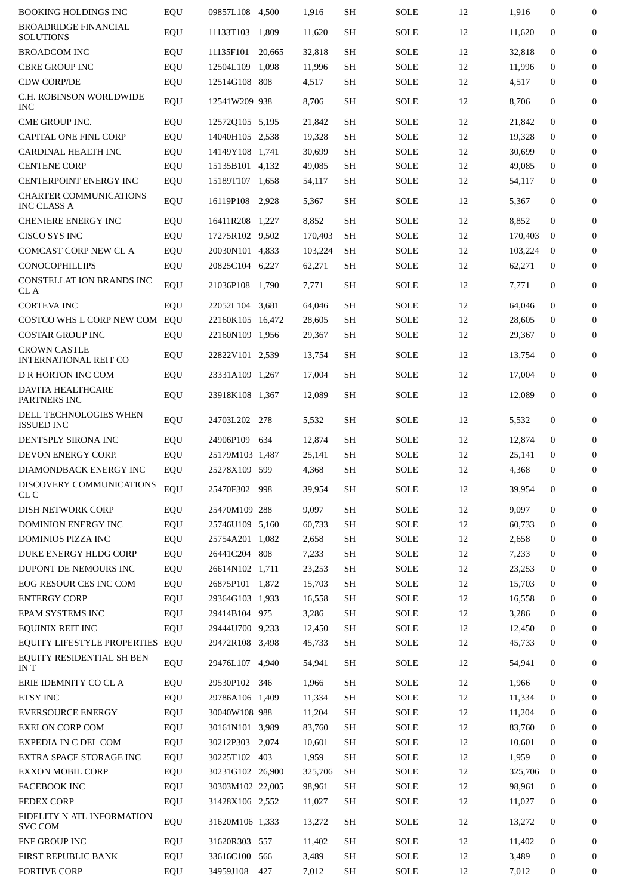| <b>BOOKING HOLDINGS INC</b>                         | EQU | 09857L108 4,500  |       | 1,916   | SН        | SOLE        | 12 | 1,916   | $\mathbf{0}$     | $\boldsymbol{0}$ |
|-----------------------------------------------------|-----|------------------|-------|---------|-----------|-------------|----|---------|------------------|------------------|
| <b>BROADRIDGE FINANCIAL</b><br>SOLUTIONS            | EQU | 11133T103 1,809  |       | 11,620  | SH        | <b>SOLE</b> | 12 | 11,620  | $\mathbf{0}$     | $\boldsymbol{0}$ |
| <b>BROADCOM INC</b>                                 | EQU | 11135F101 20,665 |       | 32,818  | SH        | <b>SOLE</b> | 12 | 32,818  | $\mathbf{0}$     | 0                |
| <b>CBRE GROUP INC</b>                               | EQU | 12504L109 1,098  |       | 11,996  | SH        | <b>SOLE</b> | 12 | 11,996  | $\mathbf{0}$     | $\boldsymbol{0}$ |
| <b>CDW CORP/DE</b>                                  | EQU | 12514G108 808    |       | 4,517   | SH        | <b>SOLE</b> | 12 | 4,517   | $\mathbf{0}$     | $\boldsymbol{0}$ |
| C.H. ROBINSON WORLDWIDE<br><b>INC</b>               | EQU | 12541W209 938    |       | 8,706   | <b>SH</b> | <b>SOLE</b> | 12 | 8,706   | $\mathbf{0}$     | $\boldsymbol{0}$ |
| <b>CME GROUP INC.</b>                               | EQU | 12572Q105 5,195  |       | 21,842  | SH        | <b>SOLE</b> | 12 | 21,842  | $\mathbf{0}$     | $\boldsymbol{0}$ |
| <b>CAPITAL ONE FINL CORP</b>                        | EQU | 14040H105 2.538  |       | 19,328  | SH        | <b>SOLE</b> | 12 | 19,328  | $\mathbf{0}$     | $\boldsymbol{0}$ |
| CARDINAL HEALTH INC                                 | EQU | 14149Y108 1,741  |       | 30,699  | SH        | <b>SOLE</b> | 12 | 30,699  | $\Omega$         | $\boldsymbol{0}$ |
| <b>CENTENE CORP</b>                                 | EQU | 15135B101 4,132  |       | 49,085  | SH        | <b>SOLE</b> | 12 | 49,085  | $\mathbf{0}$     | $\boldsymbol{0}$ |
| CENTERPOINT ENERGY INC                              | EQU | 15189T107 1,658  |       | 54,117  | SH        | <b>SOLE</b> | 12 | 54,117  | 0                | $\boldsymbol{0}$ |
| <b>CHARTER COMMUNICATIONS</b><br>INC CLASS A        | EQU | 16119P108        | 2,928 | 5,367   | <b>SH</b> | <b>SOLE</b> | 12 | 5,367   | $\mathbf{0}$     | $\boldsymbol{0}$ |
| <b>CHENIERE ENERGY INC</b>                          | EQU | 16411R208 1.227  |       | 8,852   | <b>SH</b> | <b>SOLE</b> | 12 | 8,852   | $\mathbf{0}$     | $\boldsymbol{0}$ |
| CISCO SYS INC                                       | EQU | 17275R102 9,502  |       | 170,403 | SH        | <b>SOLE</b> | 12 | 170,403 | 0                | $\boldsymbol{0}$ |
| <b>COMCAST CORP NEW CL A</b>                        | EQU | 20030N101 4.833  |       | 103,224 | SH        | <b>SOLE</b> | 12 | 103.224 | $\mathbf{0}$     | 0                |
| CONOCOPHILLIPS                                      |     | 20825C104 6,227  |       |         | <b>SH</b> | <b>SOLE</b> | 12 |         | $\mathbf{0}$     | $\boldsymbol{0}$ |
|                                                     | EQU |                  |       | 62,271  |           |             |    | 62,271  |                  |                  |
| <b>CONSTELLAT ION BRANDS INC</b><br>CL A            | EQU | 21036P108        | 1,790 | 7,771   | SH        | <b>SOLE</b> | 12 | 7,771   | $\mathbf{0}$     | 0                |
| <b>CORTEVA INC</b>                                  | EQU | 22052L104 3,681  |       | 64,046  | SH        | <b>SOLE</b> | 12 | 64,046  | $\mathbf{0}$     | $\boldsymbol{0}$ |
| COSTCO WHS L CORP NEW COM EQU                       |     | 22160K105 16,472 |       | 28,605  | SH        | <b>SOLE</b> | 12 | 28,605  | $\mathbf{0}$     | 0                |
| <b>COSTAR GROUP INC</b>                             | EQU | 22160N109 1,956  |       | 29,367  | SН        | SOLE        | 12 | 29,367  | $\mathbf{0}$     | $\boldsymbol{0}$ |
| <b>CROWN CASTLE</b><br><b>INTERNATIONAL REIT CO</b> | EQU | 22822V101 2,539  |       | 13,754  | <b>SH</b> | <b>SOLE</b> | 12 | 13,754  | $\mathbf{0}$     | $\mathbf{0}$     |
| D R HORTON INC COM                                  | EQU | 23331A109 1,267  |       | 17,004  | SH        | <b>SOLE</b> | 12 | 17,004  | $\mathbf{0}$     | $\boldsymbol{0}$ |
| <b>DAVITA HEALTHCARE</b><br>PARTNERS INC            | EQU | 23918K108 1,367  |       | 12,089  | SH        | <b>SOLE</b> | 12 | 12,089  | $\mathbf{0}$     | $\boldsymbol{0}$ |
| DELL TECHNOLOGIES WHEN<br><b>ISSUED INC</b>         | EQU | 24703L202 278    |       | 5,532   | SH        | <b>SOLE</b> | 12 | 5,532   | $\mathbf{0}$     | $\boldsymbol{0}$ |
| DENTSPLY SIRONA INC                                 | EQU | 24906P109        | 634   | 12,874  | SH        | <b>SOLE</b> | 12 | 12,874  | $\mathbf{0}$     | $\boldsymbol{0}$ |
| DEVON ENERGY CORP.                                  | EQU | 25179M103 1,487  |       | 25,141  | SH        | <b>SOLE</b> | 12 | 25.141  | 0                | 0                |
| DIAMONDBACK ENERGY INC                              | EQU | 25278X109 599    |       | 4,368   | SH        | <b>SOLE</b> | 12 | 4,368   | 0                | $\boldsymbol{0}$ |
| DISCOVERY COMMUNICATIONS<br>CL C                    | EQU | 25470F302 998    |       | 39,954  | SH        | SOLE        | 12 | 39,954  | $\mathbf{0}$     | $\boldsymbol{0}$ |
| DISH NETWORK CORP                                   | EQU | 25470M109 288    |       | 9,097   | SH        | <b>SOLE</b> | 12 | 9,097   | $\mathbf{0}$     | $\boldsymbol{0}$ |
| DOMINION ENERGY INC                                 | EQU | 25746U109 5,160  |       | 60,733  | <b>SH</b> | <b>SOLE</b> | 12 | 60,733  | $\mathbf{0}$     | 0                |
| DOMINIOS PIZZA INC                                  | EQU | 25754A201 1,082  |       | 2,658   | SH        | <b>SOLE</b> | 12 | 2,658   | $\boldsymbol{0}$ | $\mathbf{0}$     |
| DUKE ENERGY HLDG CORP                               | EQU | 26441C204 808    |       | 7,233   | SH        | SOLE        | 12 | 7,233   | $\mathbf{0}$     | $\mathbf{0}$     |
| DUPONT DE NEMOURS INC                               | EQU | 26614N102 1,711  |       | 23,253  | SH        | SOLE        | 12 | 23,253  | $\boldsymbol{0}$ | 0                |
| EOG RESOUR CES INC COM                              | EQU | 26875P101 1,872  |       | 15,703  | SH        | SOLE        | 12 | 15,703  | $\mathbf{0}$     | $\mathbf{0}$     |
| <b>ENTERGY CORP</b>                                 | EQU | 29364G103 1,933  |       | 16,558  | SH        | SOLE        | 12 | 16,558  | $\mathbf{0}$     | $\boldsymbol{0}$ |
| EPAM SYSTEMS INC                                    | EQU | 29414B104 975    |       | 3,286   | SH        | <b>SOLE</b> | 12 | 3,286   | $\mathbf{0}$     | 0                |
| <b>EQUINIX REIT INC</b>                             | EQU | 29444U700 9,233  |       | 12,450  | <b>SH</b> | SOLE        | 12 | 12,450  | $\boldsymbol{0}$ | $\mathbf{0}$     |
| EQUITY LIFESTYLE PROPERTIES EQU                     |     | 29472R108 3,498  |       | 45,733  | SH        | SOLE        | 12 | 45,733  | $\mathbf{0}$     | $\mathbf{0}$     |
| EQUITY RESIDENTIAL SH BEN<br>IN T                   | EQU | 29476L107 4,940  |       | 54,941  | SH        | SOLE        | 12 | 54,941  | $\mathbf{0}$     | 0                |
| ERIE IDEMNITY CO CL A                               | EQU | 29530P102 346    |       | 1,966   | SH        | SOLE        | 12 | 1,966   | $\boldsymbol{0}$ | 0                |
| ETSY INC                                            | EQU | 29786A106 1,409  |       | 11,334  | SH        | SOLE        | 12 | 11,334  | $\mathbf{0}$     | $\mathbf{0}$     |
| <b>EVERSOURCE ENERGY</b>                            | EQU | 30040W108 988    |       | 11,204  | SH        | SOLE        | 12 | 11,204  | $\mathbf{0}$     | $\mathbf{0}$     |
| <b>EXELON CORP COM</b>                              |     | 30161N101 3,989  |       | 83,760  | SH        | SOLE        | 12 | 83,760  | $\mathbf{0}$     | 0                |
|                                                     | EQU |                  |       |         |           |             |    |         |                  |                  |
| EXPEDIA IN C DEL COM                                | EQU | 30212P303 2,074  |       | 10,601  | SH        | SOLE        | 12 | 10,601  | $\mathbf{0}$     | $\boldsymbol{0}$ |
| EXTRA SPACE STORAGE INC                             | EQU | 30225T102 403    |       | 1,959   | <b>SH</b> | SOLE        | 12 | 1,959   | $\mathbf{0}$     | $\mathbf{0}$     |
| <b>EXXON MOBIL CORP</b>                             | EQU | 30231G102 26,900 |       | 325,706 | <b>SH</b> | SOLE        | 12 | 325,706 | $\bf{0}$         | 0                |
| FACEBOOK INC                                        | EQU | 30303M102 22,005 |       | 98,961  | SH        | SOLE        | 12 | 98,961  | 0                | 0                |
| <b>FEDEX CORP</b>                                   | EQU | 31428X106 2,552  |       | 11,027  | SH        | <b>SOLE</b> | 12 | 11,027  | 0                | $\mathbf{0}$     |
| FIDELITY N ATL INFORMATION<br><b>SVC COM</b>        | EQU | 31620M106 1,333  |       | 13,272  | SH        | <b>SOLE</b> | 12 | 13,272  | $\mathbf{0}$     | $\mathbf{0}$     |
| <b>FNF GROUP INC</b>                                | EQU | 31620R303 557    |       | 11,402  | SH        | <b>SOLE</b> | 12 | 11,402  | $\mathbf{0}$     | $\boldsymbol{0}$ |
| FIRST REPUBLIC BANK                                 | EQU | 33616C100        | 566   | 3,489   | SH        | <b>SOLE</b> | 12 | 3,489   | $\mathbf{0}$     | 0                |
| <b>FORTIVE CORP</b>                                 | EQU | 34959J108        | 427   | 7,012   | SH        | SOLE        | 12 | 7,012   | 0                | 0                |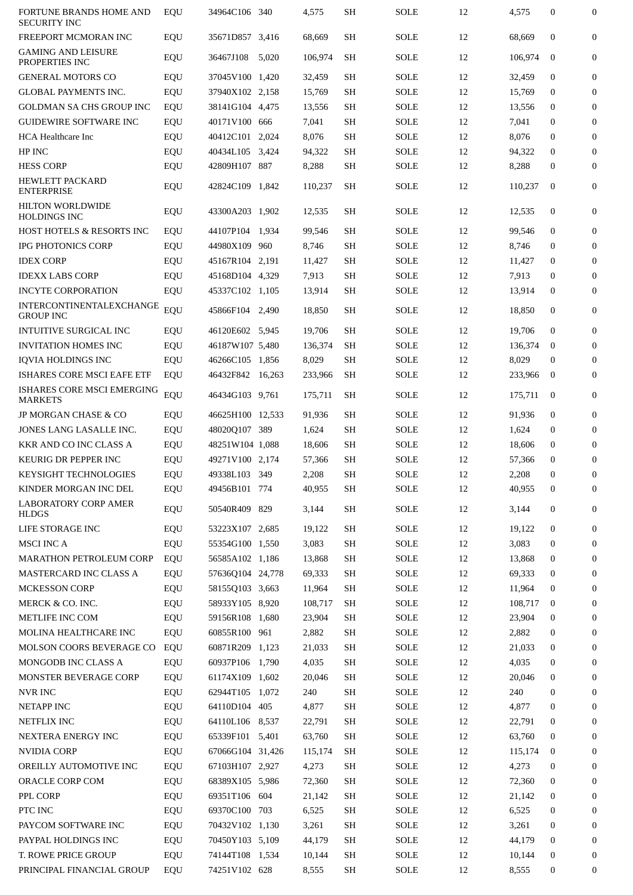| FORTUNE BRANDS HOME AND<br><b>SECURITY INC</b> | EQU | 34964C106 340    |       | 4,575   | SH        | <b>SOLE</b> | 12 | 4,575   | $\mathbf{0}$     | $\boldsymbol{0}$ |
|------------------------------------------------|-----|------------------|-------|---------|-----------|-------------|----|---------|------------------|------------------|
| FREEPORT MCMORAN INC                           | EQU | 35671D857 3,416  |       | 68.669  | SH        | SOLE        | 12 | 68.669  | $\mathbf{0}$     | $\boldsymbol{0}$ |
| <b>GAMING AND LEISURE</b><br>PROPERTIES INC    | EQU | 36467J108        | 5,020 | 106,974 | SH        | SOLE        | 12 | 106,974 | $\mathbf{0}$     | 0                |
| <b>GENERAL MOTORS CO</b>                       | EQU | 37045V100 1.420  |       | 32,459  | SH        | SOLE        | 12 | 32,459  | $\mathbf{0}$     | $\mathbf{0}$     |
| <b>GLOBAL PAYMENTS INC.</b>                    | EQU | 37940X102 2,158  |       | 15,769  | SH        | SOLE        | 12 | 15,769  | $\mathbf{0}$     | $\boldsymbol{0}$ |
| <b>GOLDMAN SA CHS GROUP INC</b>                | EQU | 38141G104 4,475  |       | 13,556  | SH        | SOLE        | 12 | 13,556  | $\mathbf{0}$     | $\mathbf{0}$     |
| <b>GUIDEWIRE SOFTWARE INC</b>                  | EQU | 40171V100 666    |       | 7,041   | SH        | <b>SOLE</b> | 12 | 7,041   | $\mathbf{0}$     | $\mathbf{0}$     |
| <b>HCA Healthcare Inc</b>                      | EQU | 40412C101 2,024  |       | 8,076   | <b>SH</b> | <b>SOLE</b> | 12 | 8,076   | $\mathbf{0}$     | $\mathbf{0}$     |
| HP INC                                         | EQU | 40434L105 3,424  |       | 94,322  | SH        | <b>SOLE</b> | 12 | 94,322  | $\mathbf{0}$     | $\mathbf{0}$     |
| <b>HESS CORP</b>                               | EQU | 42809H107 887    |       | 8,288   | SH        | SOLE        | 12 | 8,288   | $\mathbf{0}$     | $\mathbf{0}$     |
| <b>HEWLETT PACKARD</b><br><b>ENTERPRISE</b>    | EQU | 42824C109 1,842  |       | 110,237 | <b>SH</b> | <b>SOLE</b> | 12 | 110,237 | $\mathbf{0}$     | 0                |
| <b>HILTON WORLDWIDE</b><br><b>HOLDINGS INC</b> | EQU | 43300A203 1,902  |       | 12,535  | SH        | SOLE        | 12 | 12,535  | $\mathbf{0}$     | 0                |
| <b>HOST HOTELS &amp; RESORTS INC</b>           | EQU | 44107P104 1.934  |       | 99,546  | SH        | <b>SOLE</b> | 12 | 99,546  | $\mathbf{0}$     | 0                |
| <b>IPG PHOTONICS CORP</b>                      | EQU | 44980X109 960    |       | 8,746   | SН        | SOLE        | 12 | 8,746   | $\mathbf{0}$     | $\mathbf{0}$     |
| <b>IDEX CORP</b>                               | EQU | 45167R104 2,191  |       | 11,427  | SH        | <b>SOLE</b> | 12 | 11,427  | $\mathbf{0}$     | $\mathbf{0}$     |
| <b>IDEXX LABS CORP</b>                         | EQU | 45168D104 4,329  |       | 7,913   | <b>SH</b> | <b>SOLE</b> | 12 | 7,913   | $\mathbf{0}$     | 0                |
| <b>INCYTE CORPORATION</b>                      | EQU | 45337C102 1,105  |       | 13,914  | SH        | SOLE        | 12 | 13,914  | $\mathbf{0}$     | $\mathbf{0}$     |
| INTERCONTINENTALEXCHANGE<br><b>GROUP INC</b>   | EQU | 45866F104        | 2,490 | 18,850  | SH        | SOLE        | 12 | 18,850  | $\mathbf{0}$     | $\mathbf{0}$     |
| <b>INTUITIVE SURGICAL INC</b>                  | EQU | 46120E602 5,945  |       | 19,706  | SH        | <b>SOLE</b> | 12 | 19,706  | $\mathbf{0}$     | $\mathbf{0}$     |
| <b>INVITATION HOMES INC</b>                    | EQU | 46187W107 5,480  |       | 136,374 | <b>SH</b> | SOLE        | 12 | 136,374 | $\bf{0}$         | $\mathbf{0}$     |
| <b>IQVIA HOLDINGS INC</b>                      | EQU | 46266C105 1,856  |       | 8,029   | SH        | <b>SOLE</b> | 12 | 8,029   | $\mathbf{0}$     | $\mathbf{0}$     |
| <b>ISHARES CORE MSCI EAFE ETF</b>              | EQU | 46432F842 16,263 |       | 233,966 | SH        | <b>SOLE</b> | 12 | 233,966 | $\bf{0}$         | $\mathbf{0}$     |
| ISHARES CORE MSCI EMERGING<br><b>MARKETS</b>   | EQU | 46434G103 9,761  |       | 175,711 | <b>SH</b> | <b>SOLE</b> | 12 | 175,711 | $\mathbf{0}$     | $\mathbf{0}$     |
| JP MORGAN CHASE & CO                           | EQU | 46625H100 12,533 |       | 91,936  | SH        | <b>SOLE</b> | 12 | 91.936  | $\mathbf{0}$     | $\mathbf{0}$     |
| JONES LANG LASALLE INC.                        | EQU | 48020Q107 389    |       | 1,624   | SH        | <b>SOLE</b> | 12 | 1,624   | $\mathbf{0}$     | 0                |
| KKR AND CO INC CLASS A                         | EQU | 48251W104 1,088  |       | 18,606  | SH        | <b>SOLE</b> | 12 | 18,606  | $\mathbf{0}$     | $\mathbf{0}$     |
| <b>KEURIG DR PEPPER INC</b>                    | EQU | 49271V100 2,174  |       | 57,366  | SH        | <b>SOLE</b> | 12 | 57,366  | $\mathbf{0}$     | 0                |
| <b>KEYSIGHT TECHNOLOGIES</b>                   |     | 49338L103 349    |       | 2,208   | SH        | <b>SOLE</b> | 12 | 2,208   | $\Omega$         | $\mathbf{0}$     |
|                                                | EQU |                  |       |         |           |             |    |         |                  |                  |
| KINDER MORGAN INC DEL                          | EQU | 49456B101 774    |       | 40,955  | SH        | <b>SOLE</b> | 12 | 40,955  | $\boldsymbol{0}$ | $\mathbf{0}$     |
| <b>LABORATORY CORP AMER</b><br><b>HLDGS</b>    | EQU | 50540R409 829    |       | 3,144   | SH        | <b>SOLE</b> | 12 | 3,144   | $\mathbf{0}$     | 0                |
| LIFE STORAGE INC                               | EQU | 53223X107 2,685  |       | 19,122  | SH        | <b>SOLE</b> | 12 | 19,122  | $\mathbf{0}$     | $\mathbf{0}$     |
| <b>MSCI INC A</b>                              | EQU | 55354G100 1,550  |       | 3,083   | SH        | SOLE        | 12 | 3,083   | $\mathbf{0}$     | 0                |
| MARATHON PETROLEUM CORP                        | EQU | 56585A102 1,186  |       | 13,868  | SH        | <b>SOLE</b> | 12 | 13,868  | $\boldsymbol{0}$ | $\overline{0}$   |
| MASTERCARD INC CLASS A                         | EQU | 57636Q104 24,778 |       | 69,333  | SH        | <b>SOLE</b> | 12 | 69,333  | $\mathbf{0}$     | $\mathbf{0}$     |
| <b>MCKESSON CORP</b>                           | EQU | 58155Q103 3,663  |       | 11,964  | SH        | SOLE        | 12 | 11,964  | $\mathbf{0}$     | 0                |
| MERCK & CO. INC.                               | EQU | 58933Y105 8,920  |       | 108,717 | SH        | <b>SOLE</b> | 12 | 108,717 | $\bf{0}$         | $\mathbf{0}$     |
| METLIFE INC COM                                | EQU | 59156R108 1,680  |       | 23,904  | SH        | <b>SOLE</b> | 12 | 23,904  | $\mathbf{0}$     | $\mathbf{0}$     |
| MOLINA HEALTHCARE INC                          | EQU | 60855R100 961    |       | 2,882   | <b>SH</b> | SOLE        | 12 | 2,882   | $\boldsymbol{0}$ | 0                |
| MOLSON COORS BEVERAGE CO                       | EQU | 60871R209 1,123  |       | 21,033  | <b>SH</b> | <b>SOLE</b> | 12 | 21,033  | $\boldsymbol{0}$ | $\overline{0}$   |
| MONGODB INC CLASS A                            | EQU | 60937P106 1,790  |       | 4,035   | SH        | <b>SOLE</b> | 12 | 4,035   | $\mathbf{0}$     | $\mathbf{0}$     |
| MONSTER BEVERAGE CORP                          | EQU | 61174X109 1,602  |       | 20,046  | SH        | <b>SOLE</b> | 12 | 20,046  | $\mathbf{0}$     | 0                |
| NVR INC                                        | EQU | 62944T105 1,072  |       | 240     | SH        | <b>SOLE</b> | 12 | 240     | $\mathbf{0}$     | $\mathbf{0}$     |
| NETAPP INC                                     | EQU | 64110D104 405    |       | 4,877   | SH        | <b>SOLE</b> | 12 | 4,877   | $\mathbf{0}$     | $\mathbf{0}$     |
| NETFLIX INC                                    | EQU | 64110L106 8,537  |       | 22,791  | <b>SH</b> | <b>SOLE</b> | 12 | 22,791  | 0                | 0                |
| NEXTERA ENERGY INC                             | EQU | 65339F101 5,401  |       | 63,760  | <b>SH</b> | <b>SOLE</b> | 12 | 63,760  | $\mathbf{0}$     | $\mathbf{0}$     |
| <b>NVIDIA CORP</b>                             | EQU | 67066G104 31,426 |       | 115,174 | <b>SH</b> | <b>SOLE</b> | 12 | 115,174 | $\mathbf{0}$     | $\mathbf{0}$     |
| OREILLY AUTOMOTIVE INC                         | EQU | 67103H107 2,927  |       | 4,273   | SH        | <b>SOLE</b> | 12 | 4,273   | $\boldsymbol{0}$ | 0                |
|                                                |     |                  |       |         |           |             |    |         |                  |                  |
| ORACLE CORP COM                                | EQU | 68389X105 5,986  |       | 72,360  | <b>SH</b> | <b>SOLE</b> | 12 | 72,360  | $\boldsymbol{0}$ | $\mathbf{0}$     |
| PPL CORP                                       | EQU | 69351T106 604    |       | 21,142  | SH        | <b>SOLE</b> | 12 | 21,142  | $\mathbf{0}$     | $\mathbf{0}$     |
| PTC INC                                        | EQU | 69370C100 703    |       | 6,525   | SH        | <b>SOLE</b> | 12 | 6,525   | 0                | 0                |
| PAYCOM SOFTWARE INC                            | EQU | 70432V102 1,130  |       | 3,261   | <b>SH</b> | <b>SOLE</b> | 12 | 3,261   | $\boldsymbol{0}$ | $\mathbf{0}$     |
| PAYPAL HOLDINGS INC                            | EQU | 70450Y103 5,109  |       | 44,179  | SH        | <b>SOLE</b> | 12 | 44,179  | $\mathbf{0}$     | $\mathbf{0}$     |
| T. ROWE PRICE GROUP                            | EQU | 74144T108 1,534  |       | 10,144  | SH        | <b>SOLE</b> | 12 | 10,144  | 0                | 0                |
| PRINCIPAL FINANCIAL GROUP                      | EQU | 74251V102 628    |       | 8,555   | SH        | SOLE        | 12 | 8,555   | 0                | 0                |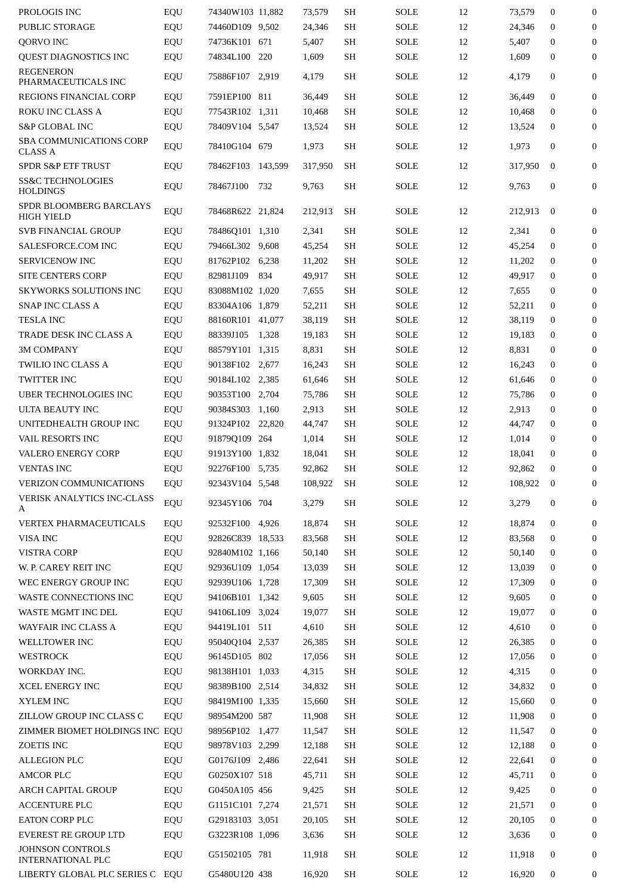| PROLOGIS INC                                        | EQU | 74340W103 11,882  |       | 73,579  | SH        | SOLE        | 12 | 73,579  | $\mathbf{0}$ | $\mathbf{0}$     |
|-----------------------------------------------------|-----|-------------------|-------|---------|-----------|-------------|----|---------|--------------|------------------|
| PUBLIC STORAGE                                      | EQU | 74460D109 9,502   |       | 24,346  | <b>SH</b> | <b>SOLE</b> | 12 | 24,346  | $\mathbf{0}$ | $\bf{0}$         |
| QORVO INC                                           | EQU | 74736K101 671     |       | 5,407   | <b>SH</b> | SOLE        | 12 | 5,407   | $\mathbf{0}$ | $\mathbf{0}$     |
| QUEST DIAGNOSTICS INC                               | EQU | 74834L100 220     |       | 1,609   | SH        | SOLE        | 12 | 1,609   | $\mathbf{0}$ | $\mathbf{0}$     |
| <b>REGENERON</b><br>PHARMACEUTICALS INC             | EQU | 75886F107 2,919   |       | 4,179   | <b>SH</b> | SOLE        | 12 | 4,179   | $\mathbf{0}$ | $\mathbf{0}$     |
| REGIONS FINANCIAL CORP                              | EQU | 7591EP100 811     |       | 36,449  | SH        | <b>SOLE</b> | 12 | 36,449  | $\mathbf{0}$ | $\mathbf{0}$     |
| ROKU INC CLASS A                                    | EQU | 77543R102 1,311   |       | 10,468  | SH        | <b>SOLE</b> | 12 | 10,468  | $\mathbf{0}$ | $\mathbf{0}$     |
| <b>S&amp;P GLOBAL INC</b>                           | EQU | 78409V104 5,547   |       | 13,524  | SH        | SOLE        | 12 | 13,524  | $\mathbf{0}$ | $\mathbf{0}$     |
| SBA COMMUNICATIONS CORP<br><b>CLASS A</b>           | EQU | 78410G104 679     |       | 1,973   | SH        | SOLE        | 12 | 1,973   | $\mathbf{0}$ | $\mathbf{0}$     |
| <b>SPDR S&amp;P ETF TRUST</b>                       | EQU | 78462F103 143,599 |       | 317,950 | <b>SH</b> | SOLE        | 12 | 317,950 | $\mathbf{0}$ | $\mathbf{0}$     |
| <b>SS&amp;C TECHNOLOGIES</b><br><b>HOLDINGS</b>     | EQU | 78467J100         | 732   | 9,763   | SH        | SOLE        | 12 | 9,763   | $\mathbf{0}$ | $\mathbf{0}$     |
| SPDR BLOOMBERG BARCLAYS<br>HIGH YIELD               | EQU | 78468R622 21,824  |       | 212,913 | SH        | <b>SOLE</b> | 12 | 212,913 | $\mathbf{0}$ | $\mathbf{0}$     |
| <b>SVB FINANCIAL GROUP</b>                          | EQU | 78486Q101 1,310   |       | 2,341   | <b>SH</b> | SOLE        | 12 | 2,341   | $\mathbf{0}$ | $\boldsymbol{0}$ |
| SALESFORCE.COM INC                                  | EQU | 79466L302 9,608   |       | 45,254  | SH        | SOLE        | 12 | 45,254  | $\mathbf{0}$ | $\mathbf{0}$     |
| <b>SERVICENOW INC</b>                               | EQU | 81762P102 6,238   |       | 11,202  | SH        | SOLE        | 12 | 11,202  | $\mathbf{0}$ | $\mathbf{0}$     |
| <b>SITE CENTERS CORP</b>                            | EQU | 82981J109         | 834   | 49,917  | SH        | SOLE        | 12 | 49,917  | $\mathbf{0}$ | $\mathbf{0}$     |
| <b>SKYWORKS SOLUTIONS INC</b>                       | EQU | 83088M102 1,020   |       | 7,655   | SH        | <b>SOLE</b> | 12 | 7,655   | $\mathbf{0}$ | $\mathbf{0}$     |
| SNAP INC CLASS A                                    | EQU | 83304A106 1,879   |       | 52,211  | SH        | SOLE        | 12 | 52,211  | $\mathbf{0}$ | $\mathbf{0}$     |
| <b>TESLA INC</b>                                    | EQU | 88160R101 41,077  |       | 38,119  | SH        | SOLE        | 12 | 38,119  | $\mathbf{0}$ | $\boldsymbol{0}$ |
|                                                     |     |                   |       |         |           | <b>SOLE</b> |    |         | $\mathbf{0}$ | $\mathbf{0}$     |
| TRADE DESK INC CLASS A                              | EQU | 88339J105         | 1,328 | 19,183  | SH        |             | 12 | 19,183  |              |                  |
| <b>3M COMPANY</b>                                   | EQU | 88579Y101 1,315   |       | 8,831   | SH        | <b>SOLE</b> | 12 | 8,831   | 0            | $\mathbf{0}$     |
| <b>TWILIO INC CLASS A</b>                           | EQU | 90138F102 2,677   |       | 16,243  | SH        | <b>SOLE</b> | 12 | 16,243  | $\mathbf{0}$ | $\mathbf{0}$     |
| TWITTER INC                                         | EQU | 90184L102 2,385   |       | 61,646  | SH        | SOLE        | 12 | 61,646  | $\mathbf{0}$ | $\mathbf{0}$     |
| <b>UBER TECHNOLOGIES INC</b>                        | EQU | 90353T100 2,704   |       | 75,786  | SH        | SOLE        | 12 | 75,786  | $\mathbf{0}$ | $\mathbf{0}$     |
| ULTA BEAUTY INC                                     | EQU | 90384S303 1,160   |       | 2,913   | SH        | SOLE        | 12 | 2,913   | $\mathbf{0}$ | $\mathbf{0}$     |
| UNITEDHEALTH GROUP INC                              | EQU | 91324P102 22.820  |       | 44,747  | SH        | <b>SOLE</b> | 12 | 44,747  | $\mathbf{0}$ | $\mathbf{0}$     |
| VAIL RESORTS INC                                    | EQU | 91879Q109 264     |       | 1,014   | SH        | SOLE        | 12 | 1,014   | $\mathbf{0}$ | $\mathbf{0}$     |
| <b>VALERO ENERGY CORP</b>                           | EQU | 91913Y100 1,832   |       | 18,041  | SH        | <b>SOLE</b> | 12 | 18,041  | $\mathbf{0}$ | $\mathbf{0}$     |
| <b>VENTAS INC</b>                                   | EQU | 92276F100 5,735   |       | 92,862  | SH        | SOLE        | 12 | 92,862  | $\mathbf{0}$ | $\boldsymbol{0}$ |
| VERIZON COMMUNICATIONS                              | EQU | 92343V104 5,548   |       | 108,922 | <b>SH</b> | <b>SOLE</b> | 12 | 108,922 | $\bf{0}$     | $\overline{0}$   |
| <b>VERISK ANALYTICS INC-CLASS</b><br>A              | EQU | 92345Y106 704     |       | 3,279   | SH        | SOLE        | 12 | 3,279   | $\mathbf{0}$ | $\boldsymbol{0}$ |
| VERTEX PHARMACEUTICALS                              | EQU | 92532F100 4,926   |       | 18,874  | SH        | <b>SOLE</b> | 12 | 18,874  | $\mathbf{0}$ | $\mathbf{0}$     |
| VISA INC                                            | EQU | 92826C839 18,533  |       | 83,568  | <b>SH</b> | <b>SOLE</b> | 12 | 83,568  | $\mathbf{0}$ | $\boldsymbol{0}$ |
| <b>VISTRA CORP</b>                                  | EQU | 92840M102 1,166   |       | 50,140  | SH        | SOLE        | 12 | 50,140  | $\mathbf{0}$ | $\mathbf{0}$     |
| W. P. CAREY REIT INC                                | EQU | 92936U109 1,054   |       | 13,039  | SH        | <b>SOLE</b> | 12 | 13,039  | $\mathbf{0}$ | $\bf{0}$         |
| WEC ENERGY GROUP INC                                | EQU | 92939U106 1,728   |       | 17,309  | SH        | <b>SOLE</b> | 12 | 17,309  | $\bf{0}$     | $\boldsymbol{0}$ |
| WASTE CONNECTIONS INC                               | EQU | 94106B101 1,342   |       | 9,605   | SH        | SOLE        | 12 | 9,605   | $\bf{0}$     | $\bf{0}$         |
| WASTE MGMT INC DEL                                  | EQU | 94106L109 3,024   |       | 19,077  | SH        | SOLE        | 12 | 19,077  | $\mathbf{0}$ | $\mathbf{0}$     |
| WAYFAIR INC CLASS A                                 | EQU | 94419L101 511     |       | 4,610   | SH        | SOLE        | 12 | 4,610   | $\mathbf{0}$ | $\boldsymbol{0}$ |
| WELLTOWER INC                                       | EQU | 95040Q104 2,537   |       | 26,385  | SH        | SOLE        | 12 | 26,385  | $\bf{0}$     | $\mathbf{0}$     |
| WESTROCK                                            | EQU | 96145D105 802     |       | 17,056  | SH        | SOLE        | 12 | 17,056  | $\mathbf{0}$ | $\boldsymbol{0}$ |
| WORKDAY INC.                                        | EQU | 98138H101 1,033   |       | 4,315   | SH        | <b>SOLE</b> | 12 | 4,315   | $\mathbf{0}$ | $\bf{0}$         |
| XCEL ENERGY INC                                     |     | 98389B100 2,514   |       |         | <b>SH</b> | <b>SOLE</b> | 12 |         | $\bf{0}$     | $\mathbf{0}$     |
|                                                     | EQU |                   |       | 34,832  |           |             |    | 34,832  |              |                  |
| XYLEM INC                                           | EQU | 98419M100 1,335   |       | 15,660  | SH        | SOLE        | 12 | 15,660  | 0            | $\boldsymbol{0}$ |
| ZILLOW GROUP INC CLASS C                            | EQU | 98954M200 587     |       | 11,908  | SH        | <b>SOLE</b> | 12 | 11,908  | $\mathbf{0}$ | $\bf{0}$         |
| ZIMMER BIOMET HOLDINGS INC EQU                      |     | 98956P102 1,477   |       | 11,547  | SH        | SOLE        | 12 | 11,547  | $\mathbf{0}$ | $\mathbf{0}$     |
| ZOETIS INC                                          | EQU | 98978V103 2,299   |       | 12,188  | SH        | SOLE        | 12 | 12,188  | $\mathbf{0}$ | $\boldsymbol{0}$ |
| <b>ALLEGION PLC</b>                                 | EQU | G0176J109 2,486   |       | 22,641  | SH        | SOLE        | 12 | 22,641  | $\mathbf{0}$ | $\bf{0}$         |
| <b>AMCOR PLC</b>                                    | EQU | G0250X107 518     |       | 45,711  | SH        | <b>SOLE</b> | 12 | 45,711  | $\bf{0}$     | $\mathbf{0}$     |
| <b>ARCH CAPITAL GROUP</b>                           | EQU | G0450A105 456     |       | 9,425   | SH        | SOLE        | 12 | 9,425   | $\mathbf{0}$ | $\boldsymbol{0}$ |
| <b>ACCENTURE PLC</b>                                | EQU | G1151C101 7,274   |       | 21,571  | SH        | SOLE        | 12 | 21,571  | 0            | $\boldsymbol{0}$ |
| <b>EATON CORP PLC</b>                               | EQU | G29183103 3,051   |       | 20,105  | SH        | SOLE        | 12 | 20,105  | $\mathbf{0}$ | $\mathbf{0}$     |
| <b>EVEREST RE GROUP LTD</b>                         | EQU | G3223R108 1,096   |       | 3,636   | SH        | <b>SOLE</b> | 12 | 3,636   | $\bf{0}$     | $\bf{0}$         |
| <b>JOHNSON CONTROLS</b><br><b>INTERNATIONAL PLC</b> | EQU | G51502105 781     |       | 11,918  | SH        | SOLE        | 12 | 11,918  | $\mathbf{0}$ | $\bf{0}$         |
| LIBERTY GLOBAL PLC SERIES C                         | EQU | G5480U120 438     |       | 16,920  | SH        | <b>SOLE</b> | 12 | 16,920  | 0            | 0                |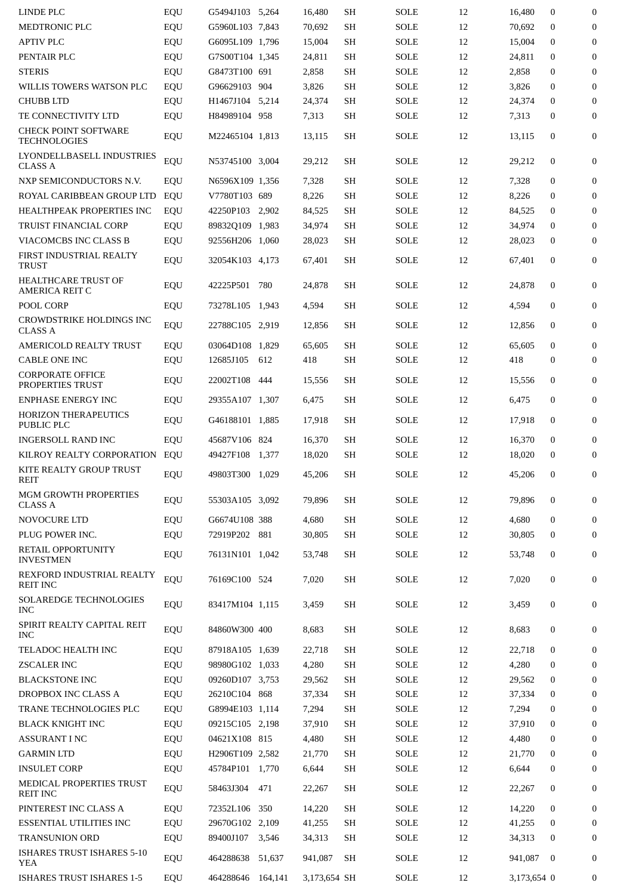| LINDE PLC                                           | EQU | G5494J103 5,264 |         | 16,480       | SH        | SOLE        | 12 | 16,480      | $\mathbf{0}$     | 0                |
|-----------------------------------------------------|-----|-----------------|---------|--------------|-----------|-------------|----|-------------|------------------|------------------|
| MEDTRONIC PLC                                       | EQU | G5960L103 7,843 |         | 70,692       | <b>SH</b> | SOLE        | 12 | 70,692      | $\mathbf{0}$     | $\boldsymbol{0}$ |
| <b>APTIV PLC</b>                                    | EQU | G6095L109 1,796 |         | 15,004       | <b>SH</b> | <b>SOLE</b> | 12 | 15,004      | $\Omega$         | $\boldsymbol{0}$ |
| PENTAIR PLC                                         | EQU | G7S00T104 1,345 |         | 24,811       | <b>SH</b> | <b>SOLE</b> | 12 | 24,811      | $\mathbf{0}$     | 0                |
| <b>STERIS</b>                                       | EQU | G8473T100 691   |         | 2,858        | <b>SH</b> | SOLE        | 12 | 2,858       | $\mathbf{0}$     | $\boldsymbol{0}$ |
| WILLIS TOWERS WATSON PLC                            | EQU | G96629103 904   |         | 3,826        | <b>SH</b> | <b>SOLE</b> | 12 | 3,826       | $\mathbf{0}$     | $\boldsymbol{0}$ |
| <b>CHUBB LTD</b>                                    | EQU | H1467J104 5,214 |         | 24,374       | <b>SH</b> | <b>SOLE</b> | 12 | 24,374      | $\mathbf{0}$     | 0                |
| TE CONNECTIVITY LTD                                 | EQU | H84989104 958   |         | 7,313        | SH        | SOLE        | 12 | 7,313       | $\mathbf{0}$     | $\mathbf{0}$     |
| <b>CHECK POINT SOFTWARE</b><br><b>TECHNOLOGIES</b>  | EQU | M22465104 1,813 |         | 13,115       | <b>SH</b> | SOLE        | 12 | 13,115      | $\mathbf{0}$     | $\mathbf{0}$     |
| LYONDELLBASELL INDUSTRIES<br><b>CLASS A</b>         | EQU | N53745100 3,004 |         | 29,212       | <b>SH</b> | SOLE        | 12 | 29,212      | $\boldsymbol{0}$ | $\mathbf{0}$     |
| NXP SEMICONDUCTORS N.V.                             | EQU | N6596X109 1,356 |         | 7,328        | SH        | SOLE        | 12 | 7,328       | $\mathbf{0}$     | 0                |
| ROYAL CARIBBEAN GROUP LTD                           | EQU | V7780T103 689   |         | 8,226        | <b>SH</b> | <b>SOLE</b> | 12 | 8,226       | $\mathbf{0}$     | $\boldsymbol{0}$ |
| HEALTHPEAK PROPERTIES INC                           | EQU | 42250P103 2,902 |         | 84,525       | <b>SH</b> | SOLE        | 12 | 84,525      | $\mathbf{0}$     | $\boldsymbol{0}$ |
| TRUIST FINANCIAL CORP                               | EQU | 89832Q109 1,983 |         | 34,974       | SH        | <b>SOLE</b> | 12 | 34,974      | $\mathbf{0}$     | $\boldsymbol{0}$ |
| VIACOMCBS INC CLASS B                               | EQU | 92556H206 1,060 |         | 28,023       | SH        | SOLE        | 12 | 28,023      | $\mathbf{0}$     | $\boldsymbol{0}$ |
| FIRST INDUSTRIAL REALTY<br><b>TRUST</b>             | EQU | 32054K103 4,173 |         | 67,401       | <b>SH</b> | SOLE        | 12 | 67,401      | $\mathbf{0}$     | 0                |
| <b>HEALTHCARE TRUST OF</b><br><b>AMERICA REIT C</b> | EQU | 42225P501 780   |         | 24,878       | <b>SH</b> | SOLE        | 12 | 24,878      | $\mathbf{0}$     | 0                |
| POOL CORP                                           | EQU | 73278L105 1,943 |         | 4,594        | SH        | SOLE        | 12 | 4,594       | $\mathbf{0}$     | 0                |
| <b>CROWDSTRIKE HOLDINGS INC</b><br><b>CLASS A</b>   | EQU | 22788C105 2,919 |         | 12,856       | <b>SH</b> | SOLE        | 12 | 12,856      | $\mathbf{0}$     | 0                |
| AMERICOLD REALTY TRUST                              | EQU | 03064D108 1,829 |         | 65,605       | SH        | SOLE        | 12 | 65,605      | $\mathbf{0}$     | $\mathbf{0}$     |
| <b>CABLE ONE INC</b>                                | EQU | 12685J105       | 612     | 418          | SH        | SOLE        | 12 | 418         | $\mathbf{0}$     | $\mathbf{0}$     |
| <b>CORPORATE OFFICE</b><br>PROPERTIES TRUST         | EQU | 22002T108       | 444     | 15,556       | SH        | SOLE        | 12 | 15,556      | $\mathbf{0}$     | $\mathbf{0}$     |
| <b>ENPHASE ENERGY INC</b>                           | EQU | 29355A107 1,307 |         | 6,475        | <b>SH</b> | <b>SOLE</b> | 12 | 6,475       | $\mathbf{0}$     | 0                |
| <b>HORIZON THERAPEUTICS</b><br>PUBLIC PLC           | EQU | G46188101 1,885 |         | 17,918       | SH        | SOLE        | 12 | 17,918      | $\mathbf{0}$     | 0                |
| <b>INGERSOLL RAND INC</b>                           | EQU | 45687V106 824   |         | 16,370       | SH        | SOLE        | 12 | 16,370      | $\mathbf{0}$     | $\boldsymbol{0}$ |
| KILROY REALTY CORPORATION                           | EQU | 49427F108 1,377 |         | 18,020       | SH        | SOLE        | 12 | 18,020      | 0                | $\mathbf{0}$     |
| KITE REALTY GROUP TRUST<br>REIT                     | EQU | 49803T300 1,029 |         | 45,206       | SH        | SOLE        | 12 | 45,206      | $\mathbf{0}$     | 0                |
| <b>MGM GROWTH PROPERTIES</b><br><b>CLASS A</b>      | EQU | 55303A105 3,092 |         | 79,896       | SH        | SOLE        | 12 | 79,896      | $\mathbf{0}$     | $\mathbf{0}$     |
| NOVOCURE LTD                                        | EQU | G6674U108 388   |         | 4,680        | SH        | SOLE        | 12 | 4,680       | $\mathbf{0}$     | $\overline{0}$   |
| PLUG POWER INC.                                     | EQU | 72919P202 881   |         | 30,805       | SH        | <b>SOLE</b> | 12 | 30,805      | $\mathbf{0}$     | 0                |
| RETAIL OPPORTUNITY<br><b>INVESTMEN</b>              | EQU | 76131N101 1,042 |         | 53,748       | SH        | SOLE        | 12 | 53,748      | $\mathbf{0}$     | $\mathbf{0}$     |
| REXFORD INDUSTRIAL REALTY<br>REIT INC               | EQU | 76169C100 524   |         | 7,020        | SH        | SOLE        | 12 | 7,020       | $\mathbf{0}$     | $\mathbf{0}$     |
| <b>SOLAREDGE TECHNOLOGIES</b><br><b>INC</b>         | EQU | 83417M104 1,115 |         | 3,459        | <b>SH</b> | <b>SOLE</b> | 12 | 3,459       | $\mathbf{0}$     | 0                |
| SPIRIT REALTY CAPITAL REIT<br><b>INC</b>            | EQU | 84860W300 400   |         | 8,683        | SH        | SOLE        | 12 | 8,683       | $\mathbf{0}$     | 0                |
| TELADOC HEALTH INC                                  | EQU | 87918A105 1,639 |         | 22,718       | SH        | <b>SOLE</b> | 12 | 22,718      | $\mathbf{0}$     | 0                |
| ZSCALER INC                                         | EQU | 98980G102 1,033 |         | 4,280        | SH        | SOLE        | 12 | 4,280       | $\mathbf{0}$     | $\overline{0}$   |
| <b>BLACKSTONE INC</b>                               | EQU | 09260D107 3,753 |         | 29,562       | SH        | SOLE        | 12 | 29,562      | $\mathbf{0}$     | $\boldsymbol{0}$ |
| DROPBOX INC CLASS A                                 | EQU | 26210C104 868   |         | 37,334       | <b>SH</b> | <b>SOLE</b> | 12 | 37,334      | $\mathbf{0}$     | 0                |
| TRANE TECHNOLOGIES PLC                              | EQU | G8994E103 1,114 |         | 7,294        | SH        | SOLE        | 12 | 7,294       | $\mathbf{0}$     | $\mathbf{0}$     |
| <b>BLACK KNIGHT INC</b>                             | EQU | 09215C105 2,198 |         | 37,910       | SH        | <b>SOLE</b> | 12 | 37,910      | $\Omega$         | $\boldsymbol{0}$ |
| <b>ASSURANT I NC</b>                                | EQU | 04621X108 815   |         | 4,480        | SH        | <b>SOLE</b> | 12 | 4,480       | $\mathbf{0}$     | 0                |
| <b>GARMIN LTD</b>                                   | EQU | H2906T109 2,582 |         | 21,770       | SH        | SOLE        | 12 | 21,770      | $\mathbf{0}$     | $\mathbf{0}$     |
| <b>INSULET CORP</b>                                 | EQU | 45784P101 1,770 |         | 6,644        | SH        | SOLE        | 12 | 6,644       | $\mathbf{0}$     | $\boldsymbol{0}$ |
| MEDICAL PROPERTIES TRUST<br><b>REIT INC</b>         | EQU | 58463J304       | 471     | 22,267       | SH        | SOLE        | 12 | 22,267      | $\mathbf{0}$     | $\mathbf{0}$     |
| PINTEREST INC CLASS A                               | EQU | 72352L106       | 350     | 14,220       | <b>SH</b> | <b>SOLE</b> | 12 | 14,220      | $\mathbf{0}$     | $\mathbf{0}$     |
| <b>ESSENTIAL UTILITIES INC</b>                      | EQU | 29670G102 2,109 |         | 41,255       | SH        | <b>SOLE</b> | 12 | 41,255      | $\mathbf{0}$     | $\mathbf{0}$     |
| <b>TRANSUNION ORD</b>                               | EQU | 89400J107 3,546 |         | 34,313       | SH        | SOLE        | 12 | 34,313      | $\Omega$         | $\mathbf{0}$     |
| <b>ISHARES TRUST ISHARES 5-10</b><br>YEA            | EQU | 464288638       | 51,637  | 941,087      | <b>SH</b> | SOLE        | 12 | 941,087     | $\Omega$         | $\boldsymbol{0}$ |
| ISHARES TRUST ISHARES 1-5                           | EQU | 464288646       | 164,141 | 3,173,654 SH |           | <b>SOLE</b> | 12 | 3,173,654 0 |                  | 0                |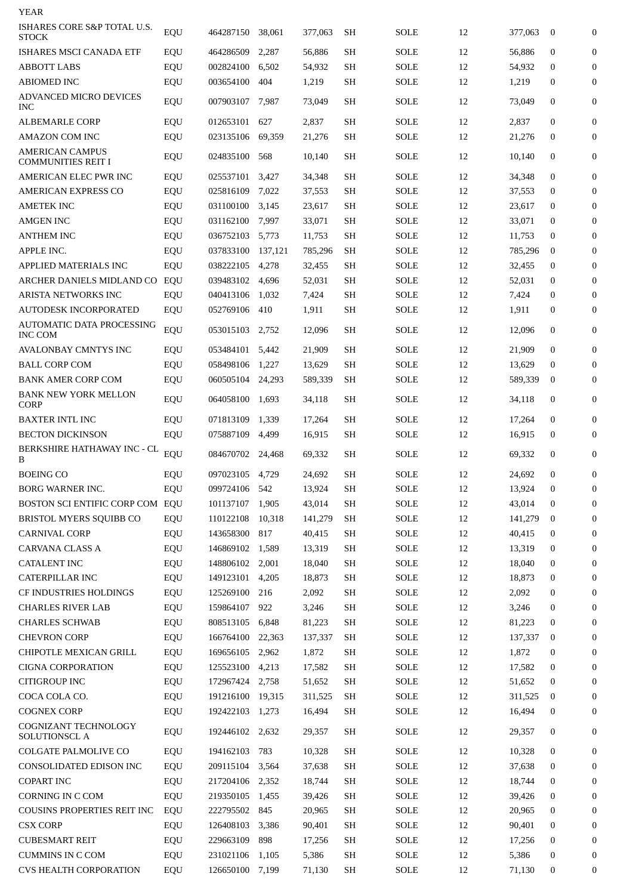| YEAR                                                      |            |                        |              |                 |                 |              |          |                 |                              |                  |
|-----------------------------------------------------------|------------|------------------------|--------------|-----------------|-----------------|--------------|----------|-----------------|------------------------------|------------------|
| ISHARES CORE S&P TOTAL U.S.<br><b>STOCK</b>               | EQU        | 464287150              | 38,061       | 377,063         | <b>SH</b>       | SOLE         | 12       | 377,063         | $\mathbf{0}$                 | $\boldsymbol{0}$ |
| ISHARES MSCI CANADA ETF                                   | EQU        | 464286509              | 2,287        | 56,886          | SH              | SOLE         | 12       | 56,886          | $\mathbf{0}$                 | $\boldsymbol{0}$ |
| <b>ABBOTT LABS</b>                                        | EQU        | 002824100              | 6,502        | 54,932          | SН              | SOLE         | 12       | 54,932          | $\Omega$                     | $\boldsymbol{0}$ |
| <b>ABIOMED INC</b>                                        | EQU        | 003654100              | 404          | 1,219           | <b>SH</b>       | SOLE         | 12       | 1,219           | 0                            | $\boldsymbol{0}$ |
| ADVANCED MICRO DEVICES<br><b>INC</b>                      | EQU        | 007903107              | 7,987        | 73,049          | SH              | SOLE         | 12       | 73,049          | $\mathbf{0}$                 | 0                |
| ALBEMARLE CORP                                            | EQU        | 012653101              | 627          | 2,837           | <b>SH</b>       | SOLE         | 12       | 2,837           | $\mathbf{0}$                 | $\boldsymbol{0}$ |
| AMAZON COM INC                                            | EQU        | 023135106              | 69,359       | 21,276          | SН              | SOLE         | 12       | 21,276          | 0                            | $\boldsymbol{0}$ |
| <b>AMERICAN CAMPUS</b><br><b>COMMUNITIES REIT I</b>       | EQU        | 024835100              | 568          | 10,140          | <b>SH</b>       | SOLE         | 12       | 10,140          | $\mathbf{0}$                 | $\boldsymbol{0}$ |
| AMERICAN ELEC PWR INC                                     | EQU        | 025537101              | 3,427        | 34,348          | SH              | SOLE         | 12       | 34,348          | $\mathbf{0}$                 | $\boldsymbol{0}$ |
| <b>AMERICAN EXPRESS CO</b>                                | EQU        | 025816109              | 7,022        | 37,553          | <b>SH</b>       | SOLE         | 12       | 37,553          | 0                            | 0                |
| AMETEK INC                                                | EQU        | 031100100              | 3,145        | 23,617          | <b>SH</b>       | SOLE         | 12       | 23,617          | 0                            | $\Omega$         |
| <b>AMGEN INC</b>                                          | EQU        | 031162100              | 7,997        | 33,071          | <b>SH</b>       | SOLE         | 12       | 33,071          | $\Omega$                     | $\Omega$         |
| <b>ANTHEM INC</b>                                         | EQU        | 036752103              | 5,773        | 11.753          | SH              | SOLE         | 12       | 11,753          | 0                            | 0                |
| APPLE INC.                                                | EQU        | 037833100              | 137,121      | 785,296         | SH              | SOLE         | 12       | 785,296         | $\bf{0}$                     | $\Omega$         |
| APPLIED MATERIALS INC                                     | EQU        | 038222105              | 4,278        | 32,455          | SH              | SOLE         | 12       | 32,455          | $\mathbf{0}$                 | $\Omega$         |
| ARCHER DANIELS MIDLAND CO                                 | EQU        | 039483102              | 4,696        | 52,031          | SH              | SOLE         | 12       | 52,031          | 0                            | $\boldsymbol{0}$ |
| ARISTA NETWORKS INC                                       | EQU        | 040413106              | 1,032        | 7,424           | <b>SH</b>       | SOLE         | 12       | 7,424           | 0                            | $\Omega$         |
| <b>AUTODESK INCORPORATED</b><br>AUTOMATIC DATA PROCESSING | EQU<br>EQU | 052769106<br>053015103 | 410<br>2,752 | 1,911<br>12,096 | <b>SH</b><br>SH | SOLE<br>SOLE | 12<br>12 | 1,911<br>12,096 | $\mathbf{0}$<br>$\mathbf{0}$ | $\Omega$<br>0    |
| <b>INC COM</b>                                            |            |                        |              |                 |                 |              |          |                 |                              |                  |
| <b>AVALONBAY CMNTYS INC</b>                               | EQU        | 053484101              | 5,442        | 21,909          | SH              | SOLE         | 12       | 21,909          | $\mathbf{0}$                 | $\boldsymbol{0}$ |
| <b>BALL CORP COM</b>                                      | EQU        | 058498106              | 1,227        | 13,629          | SH              | SOLE         | 12       | 13,629          | 0                            | $\Omega$         |
| <b>BANK AMER CORP COM</b>                                 | EQU        | 060505104              | 24,293       | 589,339         | SH              | SOLE         | 12       | 589,339         | $\bf{0}$                     | $\boldsymbol{0}$ |
| <b>BANK NEW YORK MELLON</b><br><b>CORP</b>                | EQU        | 064058100              | 1,693        | 34,118          | <b>SH</b>       | SOLE         | 12       | 34,118          | $\mathbf{0}$                 | $\boldsymbol{0}$ |
| <b>BAXTER INTL INC</b>                                    | EQU        | 071813109              | 1,339        | 17.264          | SH              | SOLE         | 12       | 17,264          | $\mathbf{0}$                 | $\boldsymbol{0}$ |
| <b>BECTON DICKINSON</b>                                   | EQU        | 075887109              | 4,499        | 16,915          | <b>SH</b>       | SOLE         | 12       | 16,915          | 0                            | $\Omega$         |
| BERKSHIRE HATHAWAY INC - CL<br>B                          | EQU        | 084670702              | 24,468       | 69,332          | <b>SH</b>       | <b>SOLE</b>  | 12       | 69,332          | 0                            | 0                |
| <b>BOEING CO</b>                                          | EQU        | 097023105              | 4,729        | 24,692          | <b>SH</b>       | SOLE         | 12       | 24,692          | $\mathbf{0}$                 | $\boldsymbol{0}$ |
| BORG WARNER INC.                                          | EQU        | 099724106              | 542          | 13,924          | SH              | SOLE         | 12       | 13,924          | $\boldsymbol{0}$             | $\mathbf{0}$     |
| BOSTON SCI ENTIFIC CORP COM                               | EQU        | 101137107              | 1,905        | 43,014          | SH              | <b>SOLE</b>  | 12       | 43,014          | 0                            | 0                |
| <b>BRISTOL MYERS SQUIBB CO</b>                            | EQU        | 110122108              | 10,318       | 141,279         | SH              | <b>SOLE</b>  | 12       | 141,279         | $\mathbf{0}$                 | $\overline{0}$   |
| <b>CARNIVAL CORP</b>                                      | EQU        | 143658300              | 817          | 40,415          | SH              | SOLE         | 12       | 40,415          | $\mathbf{0}$                 | $\mathbf{0}$     |
| <b>CARVANA CLASS A</b>                                    | EQU        | 146869102              | 1,589        | 13,319          | SH              | SOLE         | 12       | 13,319          | $\mathbf{0}$                 | 0                |
| <b>CATALENT INC</b>                                       | EQU        | 148806102 2,001        |              | 18,040          | SH              | SOLE         | 12       | 18,040          | $\boldsymbol{0}$             | $\overline{0}$   |
| CATERPILLAR INC                                           | EQU        | 149123101 4,205        |              | 18,873          | SH              | SOLE         | 12       | 18,873          | $\mathbf{0}$                 | $\mathbf{0}$     |
| CF INDUSTRIES HOLDINGS                                    | EQU        | 125269100              | 216          | 2,092           | SH              | SOLE         | 12       | 2,092           | $\mathbf{0}$                 | 0                |
| <b>CHARLES RIVER LAB</b>                                  | EQU        | 159864107              | 922          | 3,246           | SH              | SOLE         | 12       | 3,246           | $\boldsymbol{0}$             | $\mathbf{0}$     |
| <b>CHARLES SCHWAB</b>                                     | EQU        | 808513105              | 6,848        | 81,223          | SH              | SOLE         | 12       | 81,223          | $\mathbf{0}$                 | $\mathbf{0}$     |
| <b>CHEVRON CORP</b>                                       | EQU        | 166764100              | 22,363       | 137,337         | <b>SH</b>       | SOLE         | 12       | 137,337         | 0                            | 0                |
| CHIPOTLE MEXICAN GRILL                                    | EQU        | 169656105              | 2,962        | 1,872           | SH              | <b>SOLE</b>  | 12       | 1,872           | $\boldsymbol{0}$             | 0                |
| <b>CIGNA CORPORATION</b>                                  | EQU        | 125523100              | 4,213        | 17,582          | SH              | <b>SOLE</b>  | 12       | 17,582          | $\mathbf{0}$                 | $\mathbf{0}$     |
| <b>CITIGROUP INC</b>                                      | EQU        | 172967424              | 2,758        | 51,652          | <b>SH</b>       | <b>SOLE</b>  | 12       | 51,652          | $\mathbf{0}$                 | 0                |
| COCA COLA CO.                                             | EQU        | 191216100              | 19,315       | 311,525         | SH              | <b>SOLE</b>  | 12       | 311,525         | $\mathbf{0}$                 | $\overline{0}$   |
| <b>COGNEX CORP</b><br>COGNIZANT TECHNOLOGY                | EQU        | 192422103 1,273        |              | 16,494          | SH              | <b>SOLE</b>  | 12       | 16,494          | $\mathbf{0}$                 | $\overline{0}$   |
| <b>SOLUTIONSCL A</b>                                      | EQU        | 192446102 2,632        |              | 29,357          | SH              | <b>SOLE</b>  | 12       | 29,357          | $\boldsymbol{0}$             | $\mathbf{0}$     |
| COLGATE PALMOLIVE CO                                      | EQU        | 194162103              | 783          | 10,328          | SH              | SOLE         | 12       | 10,328          | $\boldsymbol{0}$             | 0                |
| CONSOLIDATED EDISON INC                                   | EQU        | 209115104              | 3,564        | 37,638          | <b>SH</b>       | <b>SOLE</b>  | 12       | 37,638          | $\mathbf{0}$                 | $\overline{0}$   |
| <b>COPART INC</b>                                         | EQU        | 217204106              | 2,352        | 18,744          | SH              | SOLE         | 12       | 18,744          | $\mathbf{0}$                 | $\mathbf{0}$     |
| <b>CORNING IN C COM</b>                                   | EQU        | 219350105              | 1,455        | 39,426          | SH              | SOLE         | 12       | 39,426          | 0                            | 0                |
| COUSINS PROPERTIES REIT INC                               | EQU        | 222795502              | 845          | 20,965          | SH              | SOLE         | 12       | 20,965          | $\mathbf{0}$                 | $\mathbf{0}$     |
| <b>CSX CORP</b>                                           | EQU        | 126408103              | 3,386        | 90,401          | SH              | <b>SOLE</b>  | 12       | 90,401          | $\mathbf{0}$                 | $\mathbf{0}$     |
| <b>CUBESMART REIT</b>                                     | EQU        | 229663109              | 898          | 17,256          | SH              | SOLE         | 12       | 17,256          | $\boldsymbol{0}$             | 0                |
| <b>CUMMINS IN C COM</b>                                   | EQU        | 231021106              | 1,105        | 5,386           | SH              | <b>SOLE</b>  | 12       | 5,386           | $\boldsymbol{0}$             | $\bf{0}$         |
| <b>CVS HEALTH CORPORATION</b>                             | EQU        | 126650100              | 7,199        | 71,130          | <b>SH</b>       | SOLE         | 12       | 71,130          | $\boldsymbol{0}$             | 0                |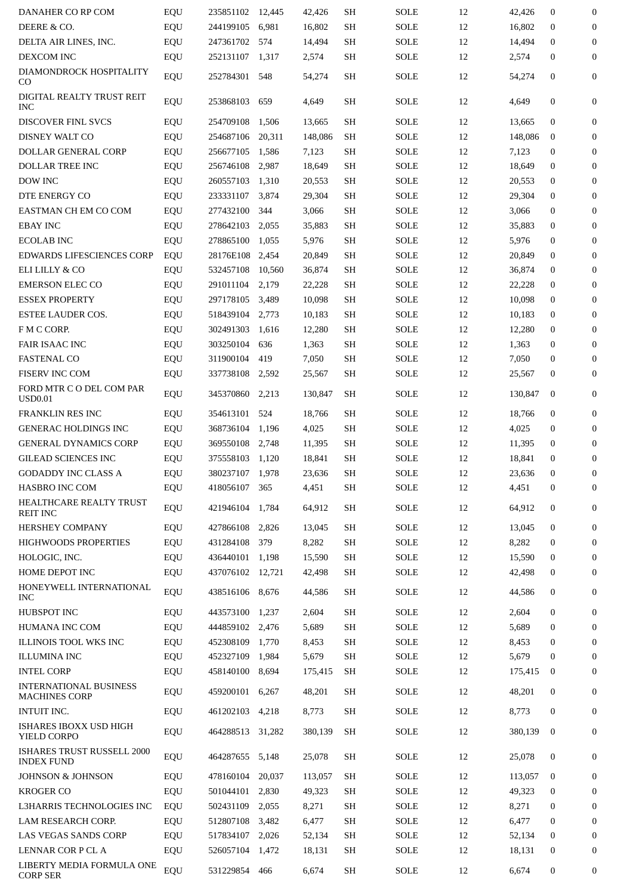| DANAHER CO RP COM                                     | EQU | 235851102 12,445 |        | 42,426  | SН        | SOLE        | 12 | 42,426  | $\mathbf{0}$     | $\boldsymbol{0}$ |
|-------------------------------------------------------|-----|------------------|--------|---------|-----------|-------------|----|---------|------------------|------------------|
| DEERE & CO.                                           | EQU | 244199105        | 6,981  | 16,802  | SH        | <b>SOLE</b> | 12 | 16,802  | $\mathbf{0}$     | 0                |
| DELTA AIR LINES, INC.                                 | EQU | 247361702        | 574    | 14,494  | SH        | SOLE        | 12 | 14,494  | $\mathbf{0}$     | $\Omega$         |
| DEXCOM INC                                            | EQU | 252131107        | 1,317  | 2,574   | SH        | SOLE        | 12 | 2,574   | $\mathbf{0}$     | $\mathbf{0}$     |
| DIAMONDROCK HOSPITALITY<br>CO                         | EQU | 252784301 548    |        | 54,274  | <b>SH</b> | SOLE        | 12 | 54,274  | $\mathbf{0}$     | $\mathbf{0}$     |
| DIGITAL REALTY TRUST REIT<br><b>INC</b>               | EQU | 253868103        | 659    | 4,649   | SH        | SOLE        | 12 | 4,649   | $\mathbf{0}$     | $\mathbf{0}$     |
| DISCOVER FINL SVCS                                    | EQU | 254709108        | 1,506  | 13,665  | SH        | SOLE        | 12 | 13,665  | $\mathbf{0}$     | $\boldsymbol{0}$ |
| DISNEY WALT CO                                        | EQU | 254687106        | 20,311 | 148,086 | SH        | SOLE        | 12 | 148,086 | $\mathbf{0}$     | 0                |
| DOLLAR GENERAL CORP                                   | EQU | 256677105        | 1,586  | 7,123   | SH        | <b>SOLE</b> | 12 | 7,123   | $\mathbf{0}$     | $\mathbf{0}$     |
| DOLLAR TREE INC                                       | EQU | 256746108        | 2,987  | 18,649  | SH        | <b>SOLE</b> | 12 | 18,649  | $\mathbf{0}$     | $\boldsymbol{0}$ |
| DOW INC                                               | EQU | 260557103        | 1,310  | 20,553  | SH        | SOLE        | 12 | 20,553  | $\mathbf{0}$     | 0                |
| DTE ENERGY CO                                         | EQU | 233331107        | 3,874  | 29,304  | SH        | SOLE        | 12 | 29,304  | $\mathbf{0}$     | $\boldsymbol{0}$ |
| EASTMAN CH EM CO COM                                  | EQU | 277432100        | 344    | 3,066   | SH        | SOLE        | 12 | 3,066   | $\mathbf{0}$     | $\boldsymbol{0}$ |
| <b>EBAY INC</b>                                       | EQU | 278642103        | 2,055  | 35,883  | SH        | SOLE        | 12 | 35,883  | $\mathbf{0}$     | 0                |
| ECOLAB INC                                            | EQU | 278865100        | 1,055  | 5,976   | SH        | <b>SOLE</b> | 12 | 5,976   | $\mathbf{0}$     | $\mathbf{0}$     |
| EDWARDS LIFESCIENCES CORP                             | EQU | 28176E108 2,454  |        | 20,849  | SH        | SOLE        | 12 | 20,849  | $\mathbf{0}$     | $\Omega$         |
| ELI LILLY & CO                                        | EQU | 532457108        | 10,560 | 36,874  | SH        | <b>SOLE</b> | 12 | 36,874  | $\mathbf{0}$     | 0                |
| <b>EMERSON ELEC CO</b>                                | EQU | 291011104        | 2,179  | 22,228  | SH        | SOLE        | 12 | 22,228  | $\mathbf{0}$     | $\mathbf{0}$     |
| <b>ESSEX PROPERTY</b>                                 |     | 297178105        | 3,489  | 10,098  | SH        | SOLE        | 12 | 10,098  | $\mathbf{0}$     | $\mathbf{0}$     |
|                                                       | EQU |                  |        |         |           | <b>SOLE</b> | 12 |         |                  |                  |
| <b>ESTEE LAUDER COS.</b>                              | EQU | 518439104        | 2,773  | 10,183  | SH        |             |    | 10,183  | $\mathbf{0}$     | 0                |
| F M C CORP.                                           | EQU | 302491303        | 1,616  | 12,280  | SН        | SOLE        | 12 | 12,280  | $\mathbf{0}$     | $\mathbf{0}$     |
| <b>FAIR ISAAC INC</b>                                 | EQU | 303250104        | 636    | 1,363   | SH        | SOLE        | 12 | 1,363   | $\mathbf{0}$     | $\Omega$         |
| <b>FASTENAL CO</b>                                    | EQU | 311900104        | 419    | 7,050   | SH        | SOLE        | 12 | 7,050   | $\mathbf{0}$     | 0                |
| FISERV INC COM                                        | EQU | 337738108        | 2,592  | 25,567  | SН        | SOLE        | 12 | 25,567  | 0                | $\mathbf{0}$     |
| FORD MTR C O DEL COM PAR<br><b>USD0.01</b>            | EQU | 345370860        | 2,213  | 130,847 | <b>SH</b> | SOLE        | 12 | 130,847 | $\mathbf{0}$     | $\mathbf{0}$     |
| <b>FRANKLIN RES INC</b>                               | EQU | 354613101        | 524    | 18,766  | SH        | SOLE        | 12 | 18,766  | $\mathbf{0}$     | $\mathbf{0}$     |
| <b>GENERAC HOLDINGS INC</b>                           | EQU | 368736104        | 1,196  | 4,025   | SH        | SOLE        | 12 | 4,025   | $\mathbf{0}$     | 0                |
| <b>GENERAL DYNAMICS CORP</b>                          | EQU | 369550108        | 2,748  | 11,395  | SH        | SOLE        | 12 | 11,395  | $\mathbf{0}$     | $\mathbf{0}$     |
| <b>GILEAD SCIENCES INC</b>                            | EQU | 375558103        | 1,120  | 18,841  | SH        | <b>SOLE</b> | 12 | 18,841  | $\Omega$         | $\mathbf{0}$     |
| <b>GODADDY INC CLASS A</b>                            | EQU | 380237107 1,978  |        | 23,636  | SH        | SOLE        | 12 | 23,636  | $\boldsymbol{0}$ | 0                |
| HASBRO INC COM                                        | EQU | 418056107        | 365    | 4,451   | SH        | SOLE        | 12 | 4,451   | $\mathbf{0}$     | $\mathbf{0}$     |
| HEALTHCARE REALTY TRUST<br><b>REIT INC</b>            | EQU | 421946104        | 1,784  | 64,912  | SH        | <b>SOLE</b> | 12 | 64,912  | $\mathbf{0}$     | 0                |
| HERSHEY COMPANY                                       | EQU | 427866108        | 2,826  | 13,045  | SH        | SOLE        | 12 | 13,045  | $\mathbf{0}$     | $\mathbf{0}$     |
| HIGHWOODS PROPERTIES                                  | EQU | 431284108        | 379    | 8,282   | SH        | <b>SOLE</b> | 12 | 8,282   | $\mathbf{0}$     | $\mathbf{0}$     |
| HOLOGIC, INC.                                         | EQU | 436440101        | 1,198  | 15,590  | SH        | SOLE        | 12 | 15,590  | $\mathbf{0}$     | 0                |
| HOME DEPOT INC                                        | EQU | 437076102 12,721 |        | 42,498  | SH        | <b>SOLE</b> | 12 | 42,498  | $\mathbf{0}$     | $\mathbf{0}$     |
| HONEYWELL INTERNATIONAL<br><b>INC</b>                 | EQU | 438516106        | 8,676  | 44,586  | SH        | SOLE        | 12 | 44,586  | $\mathbf{0}$     | $\mathbf{0}$     |
| HUBSPOT INC                                           | EQU | 443573100        | 1,237  | 2,604   | <b>SH</b> | <b>SOLE</b> | 12 | 2,604   | $\mathbf{0}$     | $\mathbf{0}$     |
| HUMANA INC COM                                        | EQU | 444859102        | 2,476  | 5,689   | <b>SH</b> | <b>SOLE</b> | 12 | 5,689   | $\mathbf{0}$     | 0                |
| ILLINOIS TOOL WKS INC                                 | EQU | 452308109        | 1,770  | 8,453   | SH        | SOLE        | 12 | 8,453   | $\mathbf{0}$     | $\mathbf{0}$     |
| <b>ILLUMINA INC</b>                                   | EQU | 452327109        | 1,984  | 5,679   | SH        | <b>SOLE</b> | 12 | 5,679   | $\Omega$         | $\mathbf{0}$     |
| <b>INTEL CORP</b>                                     | EQU | 458140100        | 8,694  | 175,415 | SH        | <b>SOLE</b> | 12 | 175,415 | $\mathbf{0}$     | 0                |
| <b>INTERNATIONAL BUSINESS</b><br><b>MACHINES CORP</b> | EQU | 459200101        | 6,267  | 48,201  | SH        | SOLE        | 12 | 48,201  | $\mathbf{0}$     | $\mathbf{0}$     |
| INTUIT INC.                                           | EQU | 461202103        | 4,218  | 8,773   | SH        | SOLE        | 12 | 8,773   | $\mathbf{0}$     | $\overline{0}$   |
| ISHARES IBOXX USD HIGH<br>YIELD CORPO                 | EQU | 464288513        | 31,282 | 380,139 | SH        | SOLE        | 12 | 380,139 | $\mathbf{0}$     | $\overline{0}$   |
| ISHARES TRUST RUSSELL 2000<br><b>INDEX FUND</b>       | EQU | 464287655        | 5,148  | 25,078  | SH        | SOLE        | 12 | 25,078  | $\mathbf{0}$     | $\overline{0}$   |
| <b>JOHNSON &amp; JOHNSON</b>                          | EQU | 478160104        | 20,037 | 113,057 | SH        | SOLE        | 12 | 113,057 | $\mathbf{0}$     | $\mathbf{0}$     |
| <b>KROGER CO</b>                                      | EQU | 501044101 2,830  |        | 49,323  | SH        | <b>SOLE</b> | 12 | 49,323  | $\mathbf{0}$     | $\mathbf{0}$     |
| L3HARRIS TECHNOLOGIES INC                             | EQU | 502431109        | 2,055  | 8,271   | SH        | SOLE        | 12 | 8,271   | $\mathbf{0}$     | 0                |
| LAM RESEARCH CORP.                                    | EQU | 512807108        | 3,482  | 6,477   | SH        | <b>SOLE</b> | 12 | 6,477   | $\mathbf{0}$     | $\mathbf{0}$     |
| LAS VEGAS SANDS CORP                                  | EQU | 517834107        | 2,026  | 52,134  | SH        | SOLE        | 12 | 52,134  | $\mathbf{0}$     | $\mathbf{0}$     |
| LENNAR COR P CL A                                     | EQU | 526057104 1,472  |        | 18,131  | SH        | <b>SOLE</b> | 12 | 18,131  | 0                | 0                |
| LIBERTY MEDIA FORMULA ONE<br><b>CORP SER</b>          | EQU | 531229854        | 466    | 6,674   | <b>SH</b> | SOLE        | 12 | 6,674   | $\boldsymbol{0}$ | 0                |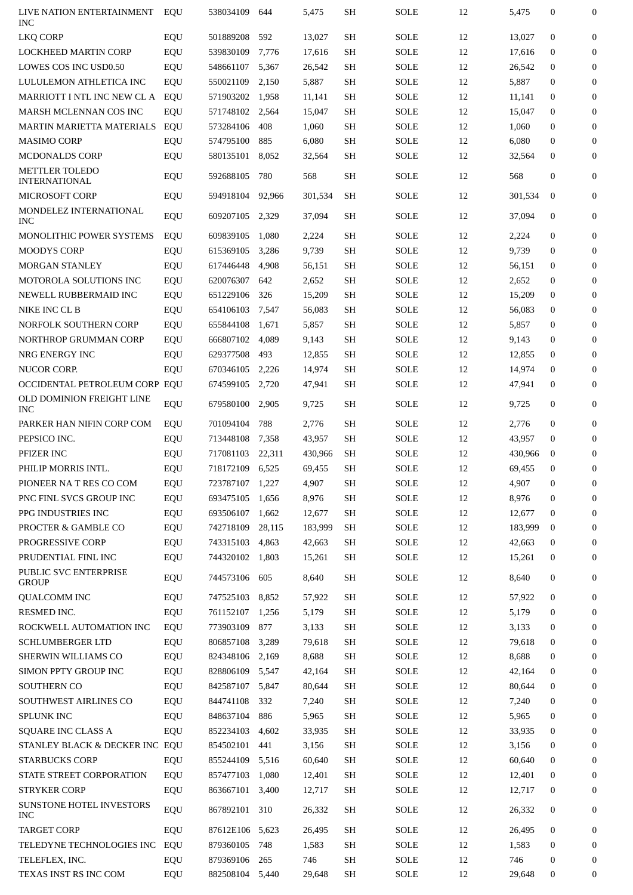| LIVE NATION ENTERTAINMENT<br><b>INC</b> | EQU | 538034109       | 644    | 5,475   | SH        | <b>SOLE</b> | 12 | 5,475   | $\mathbf{0}$     | $\mathbf{0}$     |
|-----------------------------------------|-----|-----------------|--------|---------|-----------|-------------|----|---------|------------------|------------------|
| <b>LKQ CORP</b>                         | EQU | 501889208       | 592    | 13,027  | SH        | <b>SOLE</b> | 12 | 13,027  | $\mathbf{0}$     | $\mathbf{0}$     |
| <b>LOCKHEED MARTIN CORP</b>             | EQU | 539830109       | 7,776  | 17,616  | SН        | <b>SOLE</b> | 12 | 17,616  | $\mathbf{0}$     | $\mathbf{0}$     |
| <b>LOWES COS INC USD0.50</b>            | EQU | 548661107       | 5,367  | 26,542  | SH        | <b>SOLE</b> | 12 | 26.542  | $\mathbf{0}$     | 0                |
| LULULEMON ATHLETICA INC                 | EQU | 550021109       | 2,150  | 5,887   | SH        | <b>SOLE</b> | 12 | 5,887   | $\mathbf{0}$     | $\mathbf{0}$     |
| MARRIOTT I NTL INC NEW CL A             | EQU | 571903202       | 1,958  | 11,141  | SH        | <b>SOLE</b> | 12 | 11,141  | $\mathbf{0}$     | $\mathbf{0}$     |
| MARSH MCLENNAN COS INC                  | EQU | 571748102       | 2,564  | 15,047  | <b>SH</b> | <b>SOLE</b> | 12 | 15.047  | $\mathbf{0}$     | 0                |
| <b>MARTIN MARIETTA MATERIALS</b>        | EQU | 573284106       | 408    | 1,060   | SH        | <b>SOLE</b> | 12 | 1,060   | $\mathbf{0}$     | $\mathbf{0}$     |
| <b>MASIMO CORP</b>                      | EQU | 574795100       | 885    | 6,080   | SH        | <b>SOLE</b> | 12 | 6,080   | $\Omega$         | $\boldsymbol{0}$ |
| <b>MCDONALDS CORP</b>                   | EQU | 580135101       | 8,052  | 32,564  | SH        | <b>SOLE</b> | 12 | 32,564  | 0                | $\boldsymbol{0}$ |
| METTLER TOLEDO<br><b>INTERNATIONAL</b>  | EQU | 592688105       | 780    | 568     | SH        | <b>SOLE</b> | 12 | 568     | $\mathbf{0}$     | $\boldsymbol{0}$ |
| <b>MICROSOFT CORP</b>                   | EQU | 594918104       | 92,966 | 301,534 | SH        | <b>SOLE</b> | 12 | 301,534 | $\mathbf{0}$     | $\mathbf{0}$     |
| MONDELEZ INTERNATIONAL                  |     |                 |        |         |           |             |    |         | $\mathbf{0}$     | $\boldsymbol{0}$ |
| <b>INC</b>                              | EQU | 609207105       | 2,329  | 37,094  | SH        | <b>SOLE</b> | 12 | 37,094  |                  |                  |
| <b>MONOLITHIC POWER SYSTEMS</b>         | EQU | 609839105       | 1,080  | 2,224   | SH        | <b>SOLE</b> | 12 | 2,224   | $\mathbf{0}$     | $\boldsymbol{0}$ |
| <b>MOODYS CORP</b>                      | EQU | 615369105       | 3,286  | 9,739   | SH        | <b>SOLE</b> | 12 | 9,739   | $\mathbf{0}$     | 0                |
| <b>MORGAN STANLEY</b>                   | EQU | 617446448       | 4,908  | 56,151  | SH        | <b>SOLE</b> | 12 | 56,151  | $\mathbf{0}$     | $\boldsymbol{0}$ |
| <b>MOTOROLA SOLUTIONS INC</b>           | EQU | 620076307       | 642    | 2,652   | SH        | SOLE        | 12 | 2,652   | $\Omega$         | $\boldsymbol{0}$ |
| NEWELL RUBBERMAID INC                   | EQU | 651229106       | 326    | 15,209  | <b>SH</b> | SOLE        | 12 | 15,209  | $\mathbf{0}$     | $\boldsymbol{0}$ |
| NIKE INC CL B                           | EQU | 654106103       | 7,547  | 56,083  | SH        | SOLE        | 12 | 56,083  | $\mathbf{0}$     | $\boldsymbol{0}$ |
| NORFOLK SOUTHERN CORP                   | EQU | 655844108       | 1,671  | 5,857   | SH        | SOLE        | 12 | 5,857   | 0                | $\boldsymbol{0}$ |
| NORTHROP GRUMMAN CORP                   | EQU | 666807102       | 4,089  | 9,143   | SH        | SOLE        | 12 | 9,143   | 0                | 0                |
| NRG ENERGY INC                          | EQU | 629377508       | 493    | 12,855  | <b>SH</b> | SOLE        | 12 | 12,855  | $\mathbf{0}$     | $\boldsymbol{0}$ |
| NUCOR CORP.                             | EQU | 670346105       | 2,226  | 14,974  | SH        | SOLE        | 12 | 14,974  | $\Omega$         | $\boldsymbol{0}$ |
| OCCIDENTAL PETROLEUM CORP EQU           |     | 674599105 2,720 |        | 47,941  | <b>SH</b> | SOLE        | 12 | 47,941  | $\mathbf{0}$     | $\mathbf{0}$     |
| OLD DOMINION FREIGHT LINE<br><b>INC</b> | EQU | 679580100       | 2,905  | 9,725   | SH        | SOLE        | 12 | 9,725   | $\mathbf{0}$     | $\boldsymbol{0}$ |
| PARKER HAN NIFIN CORP COM               | EQU | 701094104       | 788    | 2,776   | SH        | SOLE        | 12 | 2,776   | $\mathbf{0}$     | $\boldsymbol{0}$ |
| PEPSICO INC.                            | EQU | 713448108       | 7,358  | 43,957  | SH        | SOLE        | 12 | 43,957  | 0                | $\boldsymbol{0}$ |
| PFIZER INC                              | EQU | 717081103       | 22,311 | 430,966 | SH        | SOLE        | 12 | 430,966 | $\mathbf{0}$     | $\boldsymbol{0}$ |
| PHILIP MORRIS INTL.                     | EQU | 718172109 6,525 |        | 69,455  | SH        | SOLE        | 12 | 69,455  | 0                | $\boldsymbol{0}$ |
| PIONEER NA T RES CO COM                 | EQU | 723787107 1,227 |        | 4,907   | <b>SH</b> | <b>SOLE</b> | 12 | 4,907   | $\boldsymbol{0}$ | $\mathbf{0}$     |
| PNC FINL SVCS GROUP INC                 | EQU | 693475105       | 1,656  | 8,976   | SH        | <b>SOLE</b> | 12 | 8,976   | $\mathbf{0}$     | $\boldsymbol{0}$ |
| PPG INDUSTRIES INC                      | EQU | 693506107       | 1,662  | 12,677  | SH        | <b>SOLE</b> | 12 | 12,677  | $\mathbf{0}$     | 0                |
| PROCTER & GAMBLE CO                     | EQU | 742718109       | 28,115 | 183,999 | <b>SH</b> | <b>SOLE</b> | 12 | 183,999 | $\mathbf{0}$     | $\mathbf{0}$     |
| PROGRESSIVE CORP                        | EQU | 743315103       | 4,863  | 42,663  | SH        | <b>SOLE</b> | 12 | 42,663  | $\mathbf{0}$     | $\mathbf{0}$     |
| PRUDENTIAL FINL INC                     | EQU | 744320102       | 1,803  | 15,261  | SH        | <b>SOLE</b> | 12 | 15,261  | $\mathbf{0}$     | 0                |
| PUBLIC SVC ENTERPRISE<br><b>GROUP</b>   | EQU | 744573106       | 605    | 8,640   | SH        | <b>SOLE</b> | 12 | 8,640   | $\boldsymbol{0}$ | $\boldsymbol{0}$ |
| <b>QUALCOMM INC</b>                     | EQU | 747525103       | 8,852  | 57,922  | <b>SH</b> | SOLE        | 12 | 57,922  | $\boldsymbol{0}$ | 0                |
| RESMED INC.                             | EQU | 761152107       | 1,256  | 5,179   | SH        | <b>SOLE</b> | 12 | 5,179   | $\mathbf{0}$     | $\boldsymbol{0}$ |
| ROCKWELL AUTOMATION INC                 | EQU | 773903109       | 877    | 3,133   | <b>SH</b> | <b>SOLE</b> | 12 | 3,133   | $\boldsymbol{0}$ | 0                |
| <b>SCHLUMBERGER LTD</b>                 | EQU | 806857108       | 3,289  | 79,618  | <b>SH</b> | <b>SOLE</b> | 12 | 79,618  | $\mathbf{0}$     | $\mathbf{0}$     |
| SHERWIN WILLIAMS CO                     | EQU | 824348106       | 2,169  | 8,688   | SH        | <b>SOLE</b> | 12 | 8,688   | $\mathbf{0}$     | $\mathbf{0}$     |
| SIMON PPTY GROUP INC                    | EQU | 828806109       | 5,547  | 42,164  | SH        | <b>SOLE</b> | 12 | 42,164  | $\mathbf{0}$     | 0                |
| SOUTHERN CO                             | EQU | 842587107       | 5,847  | 80,644  | <b>SH</b> | <b>SOLE</b> | 12 | 80,644  | $\mathbf{0}$     | $\mathbf{0}$     |
| SOUTHWEST AIRLINES CO                   | EQU | 844741108       | 332    | 7,240   | SH        | <b>SOLE</b> | 12 | 7,240   | $\mathbf{0}$     | $\boldsymbol{0}$ |
| <b>SPLUNK INC</b>                       | EQU | 848637104       | 886    | 5,965   | <b>SH</b> | <b>SOLE</b> | 12 | 5,965   | $\boldsymbol{0}$ | 0                |
| SQUARE INC CLASS A                      | EQU | 852234103       | 4,602  | 33,935  | <b>SH</b> | <b>SOLE</b> | 12 | 33,935  | $\boldsymbol{0}$ | $\mathbf{0}$     |
| STANLEY BLACK & DECKER INC EQU          |     | 854502101       | 441    | 3,156   | SH        | <b>SOLE</b> | 12 | 3,156   | $\mathbf{0}$     | $\mathbf{0}$     |
| <b>STARBUCKS CORP</b>                   | EQU | 855244109       | 5,516  | 60,640  | SH        | <b>SOLE</b> | 12 | 60,640  | $\mathbf{0}$     | 0                |
| STATE STREET CORPORATION                | EQU | 857477103       | 1,080  | 12,401  | SH        | <b>SOLE</b> | 12 | 12,401  | $\mathbf{0}$     | $\mathbf{0}$     |
| <b>STRYKER CORP</b>                     | EQU | 863667101       | 3,400  | 12,717  | SH        | <b>SOLE</b> | 12 | 12,717  | $\mathbf{0}$     | $\mathbf{0}$     |
| SUNSTONE HOTEL INVESTORS<br><b>INC</b>  | EQU | 867892101 310   |        | 26,332  | SH        | <b>SOLE</b> | 12 | 26,332  | $\boldsymbol{0}$ | $\mathbf{0}$     |
| <b>TARGET CORP</b>                      | EQU | 87612E106 5,623 |        | 26,495  | SH        | <b>SOLE</b> | 12 | 26,495  | $\mathbf{0}$     | 0                |
| TELEDYNE TECHNOLOGIES INC               | EQU | 879360105       | 748    | 1,583   | SH        | SOLE        | 12 | 1,583   | $\mathbf{0}$     | 0                |
| TELEFLEX, INC.                          | EQU | 879369106       | 265    | 746     | SH        | <b>SOLE</b> | 12 | 746     | $\mathbf{0}$     | $\mathbf{0}$     |
| TEXAS INST RS INC COM                   | EQU | 882508104       | 5,440  | 29,648  | SH        | SOLE        | 12 | 29,648  | 0                | 0                |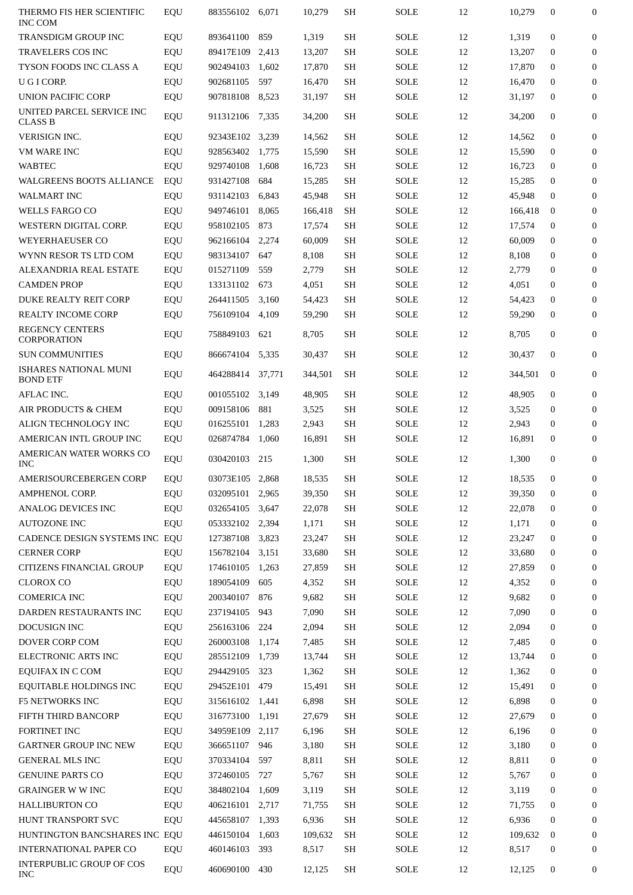| THERMO FIS HER SCIENTIFIC<br>INC COM                             | EQU        | 883556102 6.071        |            | 10,279          | SH        | <b>SOLE</b>                | 12       | 10,279          | $\mathbf{0}$                     | 0                |
|------------------------------------------------------------------|------------|------------------------|------------|-----------------|-----------|----------------------------|----------|-----------------|----------------------------------|------------------|
| <b>TRANSDIGM GROUP INC</b>                                       | EQU        | 893641100              | 859        | 1,319           | SH        | SOLE                       | 12       | 1,319           | $\mathbf{0}$                     | $\Omega$         |
| TRAVELERS COS INC                                                | EQU        | 89417E109              | 2,413      | 13,207          | <b>SH</b> | <b>SOLE</b>                | 12       | 13,207          | $\mathbf{0}$                     | $\boldsymbol{0}$ |
| TYSON FOODS INC CLASS A                                          | EQU        | 902494103              | 1,602      | 17,870          | SН        | SOLE                       | 12       | 17,870          | $\mathbf{0}$                     | $\mathbf{0}$     |
| U G I CORP.                                                      | EQU        | 902681105              | 597        | 16,470          | SH        | SOLE                       | 12       | 16,470          | $\mathbf{0}$                     | $\boldsymbol{0}$ |
| UNION PACIFIC CORP                                               | EQU        | 907818108              | 8,523      | 31,197          | SH        | SOLE                       | 12       | 31,197          | $\mathbf{0}$                     | $\boldsymbol{0}$ |
| UNITED PARCEL SERVICE INC<br><b>CLASS B</b>                      | EQU        | 911312106              | 7,335      | 34,200          | <b>SH</b> | SOLE                       | 12       | 34,200          | $\mathbf{0}$                     | $\boldsymbol{0}$ |
| VERISIGN INC.                                                    | EQU        | 92343E102              | 3,239      | 14,562          | SH        | <b>SOLE</b>                | 12       | 14,562          | $\mathbf{0}$                     | $\boldsymbol{0}$ |
| <b>VM WARE INC</b>                                               | EQU        | 928563402              | 1,775      | 15,590          | SH        | SOLE                       | 12       | 15,590          | $\Omega$                         | $\boldsymbol{0}$ |
| <b>WABTEC</b>                                                    | EQU        | 929740108              | 1,608      | 16,723          | SH        | SOLE                       | 12       | 16,723          | $\mathbf{0}$                     | $\mathbf{0}$     |
| WALGREENS BOOTS ALLIANCE                                         | EQU        | 931427108              | 684        | 15,285          | <b>SH</b> | SOLE                       | 12       | 15,285          | $\mathbf{0}$                     | $\Omega$         |
| <b>WALMART INC</b>                                               | EQU        | 931142103              | 6,843      | 45,948          | SH        | SOLE                       | 12       | 45,948          | $\Omega$                         | $\mathbf{0}$     |
| <b>WELLS FARGO CO</b>                                            | EQU        | 949746101              | 8,065      | 166,418         | SH        | SOLE                       | 12       | 166,418         | $\bf{0}$                         | $\mathbf{0}$     |
| WESTERN DIGITAL CORP.                                            | EQU        | 958102105              | 873        | 17,574          | <b>SH</b> | <b>SOLE</b>                | 12       | 17,574          | $\mathbf{0}$                     | $\Omega$         |
| <b>WEYERHAEUSER CO</b>                                           | EQU        | 962166104              | 2,274      | 60,009          | <b>SH</b> | <b>SOLE</b>                | 12       | 60,009          | $\mathbf{0}$                     | $\mathbf{0}$     |
| WYNN RESOR TS LTD COM                                            | EQU        | 983134107              | 647        | 8,108           | SH        | SOLE                       | 12       | 8,108           | $\mathbf{0}$                     | $\mathbf{0}$     |
| ALEXANDRIA REAL ESTATE                                           | EQU        | 015271109              | 559        | 2,779           | <b>SH</b> | SOLE                       | 12       | 2,779           | $\mathbf{0}$                     | $\Omega$         |
| <b>CAMDEN PROP</b>                                               | EQU        | 133131102              | 673        | 4,051           | SH        | SOLE                       | 12       | 4,051           | $\mathbf{0}$                     | $\mathbf{0}$     |
| <b>DUKE REALTY REIT CORP</b>                                     | EQU        | 264411505              | 3,160      | 54,423          | SH        | <b>SOLE</b>                | 12       | 54,423          | $\mathbf{0}$                     | $\mathbf{0}$     |
| REALTY INCOME CORP                                               | EQU        | 756109104              | 4,109      | 59,290          | <b>SH</b> | SOLE                       | 12       | 59,290          | $\mathbf{0}$                     | $\mathbf{0}$     |
| <b>REGENCY CENTERS</b><br><b>CORPORATION</b>                     | EQU        | 758849103              | 621        | 8,705           | SH        | <b>SOLE</b>                | 12       | 8,705           | $\mathbf{0}$                     | $\mathbf{0}$     |
| <b>SUN COMMUNITIES</b>                                           | EQU        | 866674104              | 5,335      | 30,437          | SH        | SOLE                       | 12       | 30,437          | $\mathbf{0}$                     | $\mathbf{0}$     |
| <b>ISHARES NATIONAL MUNI</b><br><b>BOND ETF</b>                  | EQU        | 464288414              | 37,771     | 344,501         | <b>SH</b> | <b>SOLE</b>                | 12       | 344,501         | $\mathbf{0}$                     | $\mathbf{0}$     |
| AFLAC INC.                                                       | EQU        | 001055102              | 3,149      | 48,905          | SH        | SOLE                       | 12       | 48,905          | $\mathbf{0}$                     | $\mathbf{0}$     |
| AIR PRODUCTS & CHEM                                              | EQU        | 009158106              | 881        | 3,525           | <b>SH</b> | <b>SOLE</b>                | 12       | 3,525           | $\mathbf{0}$                     | $\mathbf{0}$     |
| ALIGN TECHNOLOGY INC                                             | EQU        | 016255101              | 1,283      | 2,943           | SH        | <b>SOLE</b>                | 12       | 2,943           | $\mathbf{0}$                     | $\mathbf{0}$     |
| AMERICAN INTL GROUP INC                                          | EQU        | 026874784              | 1,060      | 16,891          | SH        | <b>SOLE</b>                | 12       | 16,891          | $\mathbf{0}$                     | $\mathbf{0}$     |
| AMERICAN WATER WORKS CO<br><b>INC</b>                            | EQU        | 030420103              | 215        | 1,300           | SH        | <b>SOLE</b>                | 12       | 1,300           | $\Omega$                         | $\mathbf{0}$     |
| AMERISOURCEBERGEN CORP                                           | EQU        | 03073E105 2,868        |            | 18,535          | <b>SH</b> | SOLE                       | 12       | 18,535          | $\Omega$                         | $\Omega$         |
| <b>AMPHENOL CORP.</b>                                            | EQU        | 032095101 2,965        |            | 39,350          | SH        | <b>SOLE</b>                | 12       | 39,350          | 0                                | 0                |
| ANALOG DEVICES INC                                               | EQU        | 032654105 3,647        |            | 22,078          | SH        | <b>SOLE</b>                | 12       | 22,078          | $\mathbf{0}$                     | 0                |
| <b>AUTOZONE INC</b>                                              | EQU        | 053332102 2,394        |            | 1,171           | SH        | <b>SOLE</b>                | 12       | 1,171           | $\boldsymbol{0}$                 | 0                |
| CADENCE DESIGN SYSTEMS INC EQU                                   |            | 127387108 3,823        |            | 23,247          | SH        | <b>SOLE</b>                | 12       | 23,247          | $\boldsymbol{0}$                 | 0                |
| <b>CERNER CORP</b>                                               | EQU        | 156782104 3,151        |            | 33,680          | SH        | <b>SOLE</b>                | 12       | 33,680          | 0                                | 0                |
| CITIZENS FINANCIAL GROUP                                         | EQU        | 174610105 1,263        |            | 27,859          | SH        | <b>SOLE</b>                | 12       | 27,859          | $\boldsymbol{0}$                 | 0                |
| <b>CLOROX CO</b>                                                 | EQU        | 189054109              | 605        | 4,352           |           |                            |          | 4,352           | $\boldsymbol{0}$                 | 0                |
| <b>COMERICA INC</b>                                              | EQU        |                        |            |                 |           |                            |          |                 |                                  |                  |
| DARDEN RESTAURANTS INC                                           |            |                        |            |                 | SH        | SOLE                       | 12       |                 |                                  |                  |
|                                                                  |            | 200340107              | 876        | 9,682           | SH        | SOLE                       | 12       | 9,682           | $\boldsymbol{0}$                 | 0                |
|                                                                  | EQU        | 237194105              | 943<br>224 | 7,090           | SH        | SOLE                       | 12       | 7,090           | 0<br>$\mathbf{0}$                | 0<br>0           |
| DOCUSIGN INC                                                     | EQU        | 256163106              |            | 2,094           | SH        | <b>SOLE</b>                | 12       | 2,094           |                                  |                  |
| DOVER CORP COM                                                   | EQU        | 260003108 1,174        |            | 7,485           | SH        | SOLE                       | 12       | 7,485           | $\boldsymbol{0}$                 | 0                |
| ELECTRONIC ARTS INC                                              | EQU        | 285512109 1,739        |            | 13,744          | SH        | SOLE                       | 12       | 13,744          | $\boldsymbol{0}$                 | 0<br>0           |
| EQUIFAX IN C COM                                                 | EQU        | 294429105              | 323        | 1,362           | SH        | SOLE                       | 12       | 1,362           | $\boldsymbol{0}$                 | 0                |
| EQUITABLE HOLDINGS INC                                           | EQU        | 29452E101 479          |            | 15,491          | SH        | SOLE                       | 12       | 15,491          | $\boldsymbol{0}$                 | 0                |
| F5 NETWORKS INC                                                  | EQU        | 315616102 1,441        |            | 6,898           | SH        | SOLE                       | 12       | 6,898           | $\boldsymbol{0}$                 |                  |
| FIFTH THIRD BANCORP                                              | EQU        | 316773100 1,191        |            | 27,679          | SH        | SOLE                       | 12       | 27,679          | $\boldsymbol{0}$                 | 0                |
| FORTINET INC                                                     | EQU        | 34959E109 2,117        |            | 6,196           | SH        | <b>SOLE</b>                | 12       | 6,196           | $\boldsymbol{0}$                 | 0                |
| <b>GARTNER GROUP INC NEW</b>                                     | EQU        | 366651107 946          |            | 3,180           | SH        | SOLE                       | 12       | 3,180           | $\mathbf{0}$                     | $\mathbf{0}$     |
| <b>GENERAL MLS INC</b>                                           | EQU        | 370334104              | 597        | 8,811           | SH        | SOLE                       | 12       | 8,811           | $\boldsymbol{0}$                 | 0                |
| <b>GENUINE PARTS CO</b>                                          | EQU        | 372460105              | 727        | 5,767           | SH        | SOLE                       | 12       | 5,767           | $\boldsymbol{0}$                 | 0                |
| <b>GRAINGER W W INC</b>                                          | EQU        | 384802104 1,609        |            | 3,119           | SH        | SOLE                       | 12       | 3,119           | $\boldsymbol{0}$                 | 0                |
| <b>HALLIBURTON CO</b>                                            | EQU        | 406216101 2,717        |            | 71,755          | SH        | SOLE                       | 12       | 71,755          | $\boldsymbol{0}$                 | 0                |
| HUNT TRANSPORT SVC                                               | EQU        | 445658107 1,393        |            | 6,936           | SH        | <b>SOLE</b>                | 12       | 6,936           | $\mathbf{0}$                     | 0                |
| HUNTINGTON BANCSHARES INC EQU                                    |            | 446150104 1,603        |            | 109,632         | SH        | SOLE                       | 12       | 109,632         | $\mathbf{0}$                     | 0                |
| <b>INTERNATIONAL PAPER CO</b><br><b>INTERPUBLIC GROUP OF COS</b> | EQU<br>EQU | 460146103<br>460690100 | 393<br>430 | 8,517<br>12,125 | SH<br>SH  | <b>SOLE</b><br><b>SOLE</b> | 12<br>12 | 8,517<br>12,125 | $\mathbf{0}$<br>$\boldsymbol{0}$ | 0                |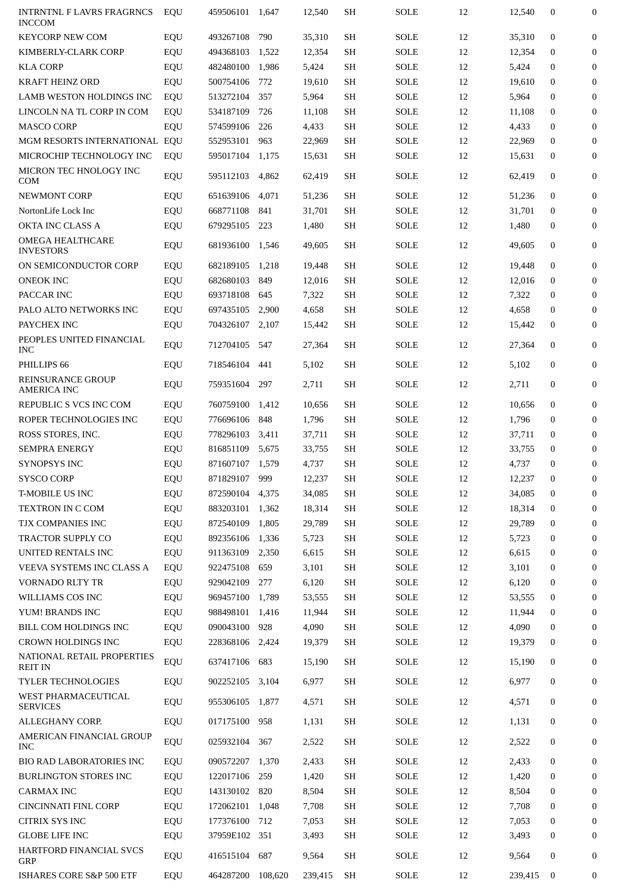| <b>INTRNTNL F LAVRS FRAGRNCS</b><br><b>INCCOM</b> | EQU | 459506101       | 1,647   | 12,540  | SH        | SOLE        | 12 | 12,540  | $\bf{0}$     | $\mathbf{0}$     |
|---------------------------------------------------|-----|-----------------|---------|---------|-----------|-------------|----|---------|--------------|------------------|
| <b>KEYCORP NEW COM</b>                            | EQU | 493267108       | 790     | 35,310  | SH        | SOLE        | 12 | 35,310  | $\mathbf{0}$ | $\mathbf{0}$     |
| KIMBERLY-CLARK CORP                               | EQU | 494368103       | 1,522   | 12,354  | <b>SH</b> | SOLE        | 12 | 12,354  | $\Omega$     | $\mathbf{0}$     |
| <b>KLA CORP</b>                                   | EQU | 482480100       | 1,986   | 5,424   | <b>SH</b> | SOLE        | 12 | 5,424   | $\mathbf{0}$ | $\boldsymbol{0}$ |
| <b>KRAFT HEINZ ORD</b>                            | EQU | 500754106       | 772     | 19,610  | SH        | SOLE        | 12 | 19,610  | $\bf{0}$     | $\mathbf{0}$     |
| LAMB WESTON HOLDINGS INC                          | EQU | 513272104       | 357     | 5,964   | <b>SH</b> | SOLE        | 12 | 5,964   | $\mathbf{0}$ | $\mathbf{0}$     |
| LINCOLN NA TL CORP IN COM                         | EQU | 534187109       | 726     | 11,108  | SH        | SOLE        | 12 | 11,108  | $\mathbf{0}$ | $\boldsymbol{0}$ |
| <b>MASCO CORP</b>                                 | EQU | 574599106       | 226     | 4,433   | SH        | SOLE        | 12 | 4,433   | $\bf{0}$     | $\mathbf{0}$     |
| MGM RESORTS INTERNATIONAL EQU                     |     | 552953101       | 963     | 22,969  | SH        | SOLE        | 12 | 22,969  | $\mathbf{0}$ | $\mathbf{0}$     |
| MICROCHIP TECHNOLOGY INC                          | EQU | 595017104       | 1,175   | 15,631  | SH        | SOLE        | 12 | 15,631  | $\mathbf{0}$ | $\boldsymbol{0}$ |
| MICRON TEC HNOLOGY INC<br><b>COM</b>              | EQU | 595112103       | 4,862   | 62,419  | SH        | SOLE        | 12 | 62,419  | $\bf{0}$     | 0                |
| NEWMONT CORP                                      | EQU | 651639106       | 4,071   | 51,236  | <b>SH</b> | SOLE        | 12 | 51,236  | $\mathbf{0}$ | $\mathbf{0}$     |
| NortonLife Lock Inc                               | EQU | 668771108       | 841     | 31,701  | SH        | SOLE        | 12 | 31,701  | $\mathbf{0}$ | $\mathbf{0}$     |
| OKTA INC CLASS A                                  | EQU | 679295105       | 223     | 1,480   | SH        | SOLE        | 12 | 1,480   | $\mathbf{0}$ | $\mathbf{0}$     |
| <b>OMEGA HEALTHCARE</b><br><b>INVESTORS</b>       | EQU | 681936100       | 1,546   | 49,605  | <b>SH</b> | SOLE        | 12 | 49,605  | $\mathbf{0}$ | $\boldsymbol{0}$ |
| ON SEMICONDUCTOR CORP                             | EQU | 682189105       | 1,218   | 19,448  | SH        | SOLE        | 12 | 19.448  | $\mathbf{0}$ | $\boldsymbol{0}$ |
| <b>ONEOK INC</b>                                  | EQU | 682680103       | 849     | 12,016  | <b>SH</b> | SOLE        | 12 | 12,016  | $\mathbf{0}$ | $\mathbf{0}$     |
| PACCAR INC                                        | EQU | 693718108       | 645     | 7,322   | SH        | SOLE        | 12 | 7,322   | $\mathbf{0}$ | $\mathbf{0}$     |
| PALO ALTO NETWORKS INC                            | EQU | 697435105       | 2,900   | 4,658   | SH        | SOLE        | 12 | 4,658   | $\mathbf{0}$ | $\bf{0}$         |
| PAYCHEX INC                                       | EQU | 704326107       | 2,107   | 15,442  | SH        | <b>SOLE</b> | 12 | 15,442  | $\mathbf{0}$ | $\mathbf{0}$     |
| PEOPLES UNITED FINANCIAL<br><b>INC</b>            | EQU | 712704105       | 547     | 27,364  | SH        | SOLE        | 12 | 27,364  | $\mathbf{0}$ | $\mathbf{0}$     |
| PHILLIPS 66                                       | EQU | 718546104       | 441     | 5,102   | SH        | SOLE        | 12 | 5,102   | $\mathbf{0}$ | $\mathbf{0}$     |
| <b>REINSURANCE GROUP</b><br>AMERICA INC           | EQU | 759351604       | 297     | 2,711   | SH        | SOLE        | 12 | 2,711   | $\mathbf{0}$ | $\mathbf{0}$     |
| REPUBLIC S VCS INC COM                            | EQU | 760759100       | 1,412   | 10,656  | SH        | SOLE        | 12 | 10,656  | $\mathbf{0}$ | $\mathbf{0}$     |
| ROPER TECHNOLOGIES INC                            | EQU | 776696106       | 848     | 1,796   | SH        | SOLE        | 12 | 1,796   | $\bf{0}$     | $\mathbf{0}$     |
| ROSS STORES, INC.                                 | EQU | 778296103       | 3,411   | 37,711  | SH        | SOLE        | 12 | 37,711  | $\mathbf{0}$ | $\mathbf{0}$     |
| <b>SEMPRA ENERGY</b>                              | EQU | 816851109       | 5,675   | 33,755  | SH        | <b>SOLE</b> | 12 | 33,755  | $\mathbf{0}$ | $\boldsymbol{0}$ |
| <b>SYNOPSYS INC</b>                               | EQU | 871607107       | 1,579   | 4,737   | SH        | <b>SOLE</b> | 12 | 4,737   | $\mathbf{0}$ | $\bf{0}$         |
| <b>SYSCO CORP</b>                                 | EQU | 871829107       | 999     | 12,237  | <b>SH</b> | <b>SOLE</b> | 12 | 12,237  | $\Omega$     | $\mathbf{0}$     |
| <b>T-MOBILE US INC</b>                            | EQU | 872590104 4,375 |         | 34,085  | SH        | SOLE        | 12 | 34,085  | $\mathbf{0}$ | $\bf{0}$         |
| TEXTRON IN C COM                                  | EQU | 883203101       | 1,362   | 18,314  | SH        | <b>SOLE</b> | 12 | 18,314  | $\mathbf{0}$ | $\bf{0}$         |
| TJX COMPANIES INC                                 | EQU | 872540109       | 1,805   | 29,789  | SH        | <b>SOLE</b> | 12 | 29,789  | $\mathbf{0}$ | $\bf{0}$         |
| TRACTOR SUPPLY CO                                 | EQU | 892356106       | 1,336   | 5,723   | SH        | <b>SOLE</b> | 12 | 5,723   | $\mathbf{0}$ | $\bf{0}$         |
| UNITED RENTALS INC                                | EQU | 911363109       | 2,350   | 6,615   | SH        | SOLE        | 12 | 6,615   | $\mathbf{0}$ | $\bf{0}$         |
| VEEVA SYSTEMS INC CLASS A                         | EQU | 922475108       | 659     | 3,101   | SH        | SOLE        | 12 | 3,101   | $\mathbf{0}$ | $\mathbf{0}$     |
| <b>VORNADO RLTY TR</b>                            | EQU | 929042109       | 277     | 6,120   | SH        | <b>SOLE</b> | 12 | 6,120   | $\mathbf{0}$ | $\bf{0}$         |
| WILLIAMS COS INC                                  | EQU | 969457100       | 1,789   | 53,555  | SH        | SOLE        | 12 | 53,555  | $\mathbf{0}$ | $\bf{0}$         |
| YUM! BRANDS INC                                   | EQU | 988498101       | 1,416   | 11,944  | SH        | <b>SOLE</b> | 12 | 11,944  | $\mathbf{0}$ | $\bf{0}$         |
| BILL COM HOLDINGS INC                             | EQU | 090043100       | 928     | 4,090   | SH        | <b>SOLE</b> | 12 | 4,090   | $\mathbf{0}$ | $\mathbf{0}$     |
| CROWN HOLDINGS INC                                | EQU | 228368106       | 2,424   | 19,379  | SH        | SOLE        | 12 | 19,379  | $\mathbf{0}$ | $\bf{0}$         |
| NATIONAL RETAIL PROPERTIES<br><b>REIT IN</b>      | EQU | 637417106       | 683     | 15,190  | SH        | <b>SOLE</b> | 12 | 15,190  | $\bf{0}$     | $\mathbf{0}$     |
| TYLER TECHNOLOGIES                                | EQU | 902252105       | 3,104   | 6,977   | SH        | <b>SOLE</b> | 12 | 6,977   | $\bf{0}$     | $\bf{0}$         |
| WEST PHARMACEUTICAL<br><b>SERVICES</b>            | EQU | 955306105       | 1,877   | 4,571   | SH        | SOLE        | 12 | 4,571   | $\bf{0}$     | 0                |
| ALLEGHANY CORP.                                   | EQU | 017175100       | 958     | 1,131   | SH        | SOLE        | 12 | 1,131   | $\mathbf{0}$ | $\mathbf{0}$     |
| AMERICAN FINANCIAL GROUP<br><b>INC</b>            | EQU | 025932104       | 367     | 2,522   | <b>SH</b> | <b>SOLE</b> | 12 | 2,522   | $\bf{0}$     | 0                |
| BIO RAD LABORATORIES INC                          | EQU | 090572207       | 1,370   | 2,433   | SH        | SOLE        | 12 | 2,433   | $\mathbf{0}$ | $\bf{0}$         |
| <b>BURLINGTON STORES INC</b>                      | EQU | 122017106       | 259     | 1,420   | SH        | SOLE        | 12 | 1,420   | $\mathbf{0}$ | $\bf{0}$         |
| <b>CARMAX INC</b>                                 | EQU | 143130102       | 820     | 8,504   | SH        | SOLE        | 12 | 8,504   | $\mathbf{0}$ | $\bf{0}$         |
| <b>CINCINNATI FINL CORP</b>                       | EQU | 172062101       | 1,048   | 7,708   | SH        | <b>SOLE</b> | 12 | 7,708   | $\mathbf{0}$ | $\bf{0}$         |
| <b>CITRIX SYS INC</b>                             | EQU | 177376100       | 712     | 7,053   | SH        | <b>SOLE</b> | 12 | 7,053   | $\mathbf{0}$ | $\mathbf{0}$     |
| <b>GLOBE LIFE INC</b>                             | EQU | 37959E102 351   |         | 3,493   | SH        | <b>SOLE</b> | 12 | 3,493   | $\mathbf{0}$ | $\mathbf{0}$     |
| HARTFORD FINANCIAL SVCS<br>GRP                    | EQU | 416515104       | 687     | 9,564   | SH        | <b>SOLE</b> | 12 | 9,564   | $\mathbf{0}$ | $\mathbf{0}$     |
| ISHARES CORE S&P 500 ETF                          | EQU | 464287200       | 108,620 | 239,415 | <b>SH</b> | SOLE        | 12 | 239,415 | $\bf{0}$     | 0                |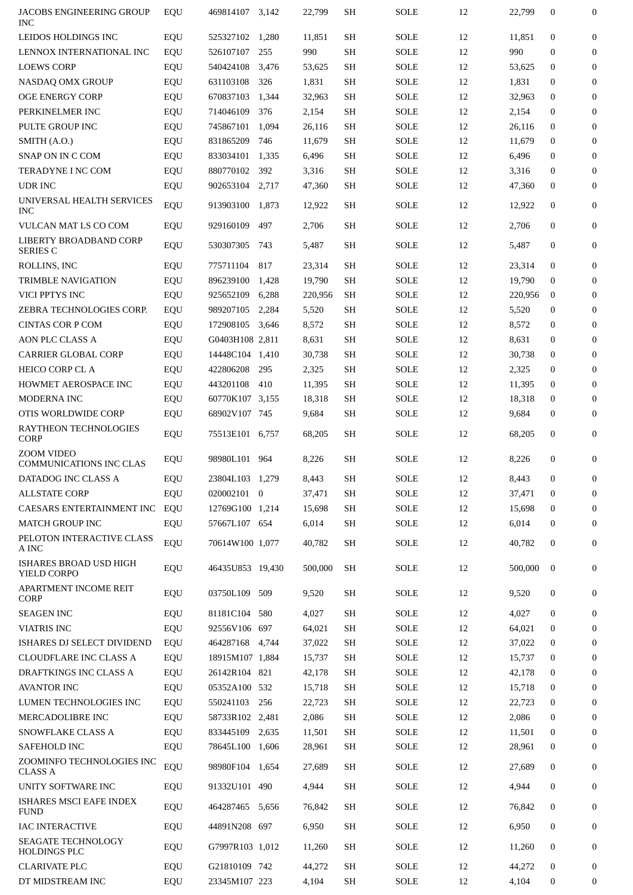| JACOBS ENGINEERING GROUP<br><b>INC</b>                | EQU        | 469814107                        | 3,142 | 22,799          | SH              | <b>SOLE</b>                | 12       | 22,799          | $\boldsymbol{0}$             | 0                 |
|-------------------------------------------------------|------------|----------------------------------|-------|-----------------|-----------------|----------------------------|----------|-----------------|------------------------------|-------------------|
| LEIDOS HOLDINGS INC                                   | EQU        | 525327102                        | 1,280 | 11,851          | SH              | <b>SOLE</b>                | 12       | 11,851          | $\mathbf{0}$                 | $\boldsymbol{0}$  |
| LENNOX INTERNATIONAL INC                              | EQU        | 526107107                        | 255   | 990             | SH              | <b>SOLE</b>                | 12       | 990             | $\Omega$                     | 0                 |
| <b>LOEWS CORP</b>                                     | EQU        | 540424108                        | 3,476 | 53,625          | SH              | <b>SOLE</b>                | 12       | 53,625          | $\mathbf{0}$                 | $\boldsymbol{0}$  |
| NASDAQ OMX GROUP                                      | EQU        | 631103108                        | 326   | 1,831           | SH              | <b>SOLE</b>                | 12       | 1,831           | 0                            | $\boldsymbol{0}$  |
| <b>OGE ENERGY CORP</b>                                | EQU        | 670837103                        | 1,344 | 32,963          | SH              | <b>SOLE</b>                | 12       | 32,963          | $\mathbf{0}$                 | $\boldsymbol{0}$  |
| PERKINELMER INC                                       | EQU        | 714046109                        | 376   | 2,154           | SH              | <b>SOLE</b>                | 12       | 2,154           | $\mathbf{0}$                 | $\boldsymbol{0}$  |
| PULTE GROUP INC                                       | EQU        | 745867101                        | 1,094 | 26,116          | SH              | <b>SOLE</b>                | 12       | 26,116          | $\mathbf{0}$                 | $\boldsymbol{0}$  |
| SMITH (A.O.)                                          | EQU        | 831865209                        | 746   | 11,679          | SH              | <b>SOLE</b>                | 12       | 11,679          | $\mathbf{0}$                 | $\boldsymbol{0}$  |
| SNAP ON IN C COM                                      | EQU        | 833034101                        | 1,335 | 6,496           | SH              | <b>SOLE</b>                | 12       | 6,496           | $\mathbf{0}$                 | $\mathbf{0}$      |
| TERADYNE I NC COM                                     | EQU        | 880770102                        | 392   | 3,316           | SH              | <b>SOLE</b>                | 12       | 3,316           | $\mathbf{0}$                 | $\mathbf{0}$      |
| UDR INC                                               | EQU        | 902653104                        | 2,717 | 47,360          | SH              | <b>SOLE</b>                | 12       | 47,360          | $\mathbf{0}$                 | $\mathbf{0}$      |
| UNIVERSAL HEALTH SERVICES<br><b>INC</b>               | EQU        | 913903100 1,873                  |       | 12,922          | SH              | <b>SOLE</b>                | 12       | 12,922          | $\mathbf{0}$                 | $\mathbf{0}$      |
| VULCAN MAT LS CO COM                                  | EQU        | 929160109                        | 497   | 2,706           | SH              | <b>SOLE</b>                | 12       | 2,706           | $\mathbf{0}$                 | 0                 |
| LIBERTY BROADBAND CORP<br><b>SERIES C</b>             | EQU        | 530307305                        | 743   | 5,487           | SH              | <b>SOLE</b>                | 12       | 5,487           | $\mathbf{0}$                 | 0                 |
| ROLLINS, INC                                          | EQU        | 775711104                        | 817   | 23,314          | SH              | <b>SOLE</b>                | 12       | 23,314          | $\mathbf{0}$                 | 0                 |
| <b>TRIMBLE NAVIGATION</b>                             | EQU        | 896239100                        | 1,428 | 19,790          | SH              | <b>SOLE</b>                | 12       | 19,790          | $\mathbf{0}$                 | $\mathbf{0}$      |
| VICI PPTYS INC                                        | EQU        | 925652109                        | 6,288 | 220,956         | SH              | <b>SOLE</b>                | 12       | 220,956         | $\mathbf{0}$                 | $\mathbf{0}$      |
| ZEBRA TECHNOLOGIES CORP.                              | EQU        | 989207105                        | 2,284 | 5,520           | <b>SH</b>       | <b>SOLE</b>                | 12       | 5,520           | $\mathbf{0}$                 | 0                 |
| <b>CINTAS COR P COM</b>                               | EQU        | 172908105                        | 3,646 | 8,572           | SH              | <b>SOLE</b>                | 12       | 8,572           | 0                            | $\mathbf{0}$      |
| <b>AON PLC CLASS A</b>                                | EQU        | G0403H108 2,811                  |       | 8,631           | SH              | <b>SOLE</b>                | 12       | 8,631           | $\mathbf{0}$                 | $\mathbf{0}$      |
| <b>CARRIER GLOBAL CORP</b>                            | EQU        | 14448C104 1,410                  |       | 30,738          | SH              | <b>SOLE</b>                | 12       | 30,738          | $\mathbf{0}$                 | 0                 |
| <b>HEICO CORP CL A</b>                                |            | 422806208                        | 295   | 2,325           | SH              | <b>SOLE</b>                | 12       | 2,325           | $\mathbf{0}$                 | $\mathbf{0}$      |
| <b>HOWMET AEROSPACE INC</b>                           | EQU        | 443201108                        | 410   | 11,395          | SH              | <b>SOLE</b>                | 12       | 11,395          | $\mathbf{0}$                 | $\mathbf{0}$      |
| <b>MODERNA INC</b>                                    | EQU        | 60770K107 3,155                  |       | 18,318          | SH              | <b>SOLE</b>                | 12       | 18,318          | $\mathbf{0}$                 | $\mathbf{0}$      |
|                                                       | EQU        |                                  |       |                 |                 |                            |          |                 |                              |                   |
| OTIS WORLDWIDE CORP<br>RAYTHEON TECHNOLOGIES          | EQU<br>EQU | 68902V107 745<br>75513E101 6,757 |       | 9,684<br>68,205 | SH<br><b>SH</b> | <b>SOLE</b><br><b>SOLE</b> | 12<br>12 | 9,684<br>68,205 | $\mathbf{0}$<br>$\mathbf{0}$ | $\mathbf{0}$<br>0 |
| <b>CORP</b><br><b>ZOOM VIDEO</b>                      | EQU        | 98980L101 964                    |       | 8,226           | SH              | SOLE                       | 12       | 8,226           | 0                            | $\mathbf{0}$      |
| <b>COMMUNICATIONS INC CLAS</b><br>DATADOG INC CLASS A | <b>EQU</b> | 23804L103 1,279                  |       | 8.443           | SH              | <b>SOLE</b>                | 12       | 8.443           | $\Omega$                     | 0                 |
| <b>ALLSTATE CORP</b>                                  | EQU        | 020002101 0                      |       | 37,471          | SН              | <b>SOLE</b>                | 12       | 37,471          | $\mathbf{0}$                 | 0                 |
| CAESARS ENTERTAINMENT INC                             | EQU        | 12769G100 1,214                  |       | 15,698          | SH              | <b>SOLE</b>                | 12       | 15,698          | $\mathbf{0}$                 | $\mathbf{0}$      |
| <b>MATCH GROUP INC</b>                                | EQU        | 57667L107 654                    |       | 6,014           | SH              | <b>SOLE</b>                | 12       | 6,014           | $\boldsymbol{0}$             | $\overline{0}$    |
| PELOTON INTERACTIVE CLASS                             |            |                                  |       |                 |                 |                            |          |                 |                              |                   |
| A INC<br>ISHARES BROAD USD HIGH                       | EQU        | 70614W100 1,077                  |       | 40,782          | SH              | <b>SOLE</b>                | 12       | 40,782          | $\mathbf{0}$                 | $\mathbf{0}$      |
| YIELD CORPO                                           | EQU        | 46435U853 19,430                 |       | 500,000         | <b>SH</b>       | <b>SOLE</b>                | 12       | 500,000         | $\mathbf{0}$                 | $\mathbf{0}$      |
| <b>APARTMENT INCOME REIT</b><br>CORP                  | EQU        | 03750L109                        | 509   | 9,520           | SH              | <b>SOLE</b>                | 12       | 9,520           | $\boldsymbol{0}$             | $\overline{0}$    |
| <b>SEAGEN INC</b>                                     | EQU        | 81181C104                        | 580   | 4,027           | SH              | <b>SOLE</b>                | 12       | 4,027           | $\mathbf{0}$                 | $\mathbf{0}$      |
| <b>VIATRIS INC</b>                                    | EQU        | 92556V106 697                    |       | 64,021          | SH              | <b>SOLE</b>                | 12       | 64,021          | $\mathbf{0}$                 | $\mathbf{0}$      |
| ISHARES DJ SELECT DIVIDEND                            | EQU        | 464287168                        | 4,744 | 37,022          | SH              | <b>SOLE</b>                | 12       | 37,022          | $\mathbf{0}$                 | $\mathbf{0}$      |
| <b>CLOUDFLARE INC CLASS A</b>                         | EQU        | 18915M107 1,884                  |       | 15,737          | SH              | <b>SOLE</b>                | 12       | 15,737          | $\mathbf{0}$                 | $\mathbf{0}$      |
| DRAFTKINGS INC CLASS A                                | EQU        | 26142R104 821                    |       | 42,178          | SH              | <b>SOLE</b>                | 12       | 42,178          | $\mathbf{0}$                 | 0                 |
| <b>AVANTOR INC</b>                                    | EQU        | 05352A100 532                    |       | 15,718          | SH              | <b>SOLE</b>                | 12       | 15,718          | $\mathbf{0}$                 | $\mathbf{0}$      |
| LUMEN TECHNOLOGIES INC                                | EQU        | 550241103                        | 256   | 22,723          | SH              | <b>SOLE</b>                | 12       | 22,723          | $\mathbf{0}$                 | $\mathbf{0}$      |
| MERCADOLIBRE INC                                      | EQU        | 58733R102 2,481                  |       | 2,086           | <b>SH</b>       | <b>SOLE</b>                | 12       | 2,086           | $\mathbf{0}$                 | $\mathbf{0}$      |
| SNOWFLAKE CLASS A                                     | EQU        | 833445109                        | 2,635 | 11,501          | SH              | <b>SOLE</b>                | 12       | 11,501          | $\mathbf{0}$                 | $\mathbf{0}$      |
| SAFEHOLD INC                                          | EQU        | 78645L100 1,606                  |       | 28,961          | SH              | <b>SOLE</b>                | 12       | 28,961          | $\mathbf{0}$                 | $\mathbf{0}$      |
| ZOOMINFO TECHNOLOGIES INC<br><b>CLASS A</b>           | EQU        | 98980F104 1,654                  |       | 27,689          | SH              | SOLE                       | 12       | 27,689          | $\mathbf{0}$                 | $\mathbf{0}$      |
| UNITY SOFTWARE INC                                    | EQU        | 91332U101 490                    |       | 4,944           | SH              | <b>SOLE</b>                | 12       | 4,944           | $\mathbf{0}$                 | 0                 |
| ISHARES MSCI EAFE INDEX<br><b>FUND</b>                | EQU        | 464287465                        | 5,656 | 76,842          | SH              | SOLE                       | 12       | 76,842          | $\mathbf{0}$                 | 0                 |
| <b>IAC INTERACTIVE</b>                                | EQU        | 44891N208 697                    |       | 6,950           | SH              | <b>SOLE</b>                | 12       | 6,950           | $\boldsymbol{0}$             | 0                 |
| <b>SEAGATE TECHNOLOGY</b><br><b>HOLDINGS PLC</b>      | EQU        | G7997R103 1,012                  |       | 11,260          | SH              | SOLE                       | 12       | 11,260          | $\mathbf{0}$                 | $\mathbf{0}$      |
| <b>CLARIVATE PLC</b>                                  | EQU        | G21810109 742                    |       | 44,272          | SH              | <b>SOLE</b>                | 12       | 44,272          | $\mathbf{0}$                 | 0                 |
| DT MIDSTREAM INC                                      | EQU        | 23345M107 223                    |       | 4,104           | SH              | <b>SOLE</b>                | 12       | 4,104           | $\mathbf{0}$                 | 0                 |